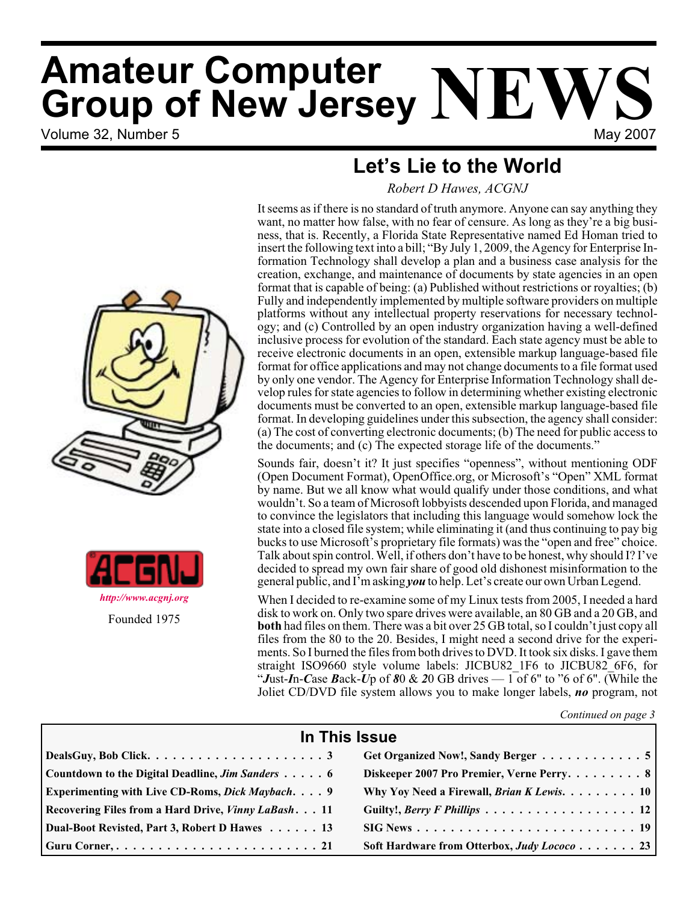# Volume 32, Number 5 May 2007 **Amateur Computer Group of New Jersey NEWS**

# **Let's Lie to the World**

*Robert D Hawes, ACGNJ*



Sounds fair, doesn't it? It just specifies "openness", without mentioning ODF (Open Document Format), OpenOffice.org, or Microsoft's "Open" XML format by name. But we all know what would qualify under those conditions, and what wouldn't. So a team of Microsoft lobbyists descended upon Florida, and managed to convince the legislators that including this language would somehow lock the state into a closed file system; while eliminating it (and thus continuing to pay big bucks to use Microsoft's proprietary file formats) was the "open and free" choice. Talk about spin control. Well, if others don't have to be honest, why should I? I've decided to spread my own fair share of good old dishonest misinformation to the general public, and I'm asking *you* to help. Let's create our own Urban Legend.

When I decided to re-examine some of my Linux tests from 2005, I needed a hard disk to work on. Only two spare drives were available, an 80 GB and a 20 GB, and **both** had files on them. There was a bit over 25 GB total, so I couldn't just copy all files from the 80 to the 20. Besides, I might need a second drive for the experiments. So I burned the files from both drives to DVD. It took six disks. I gave them straight ISO9660 style volume labels: JICBU82\_1F6 to JICBU82\_6F6, for "*Just-In-Case Back-Up of 80 & 20 GB drives —*  $1$  *of 6" to "6 of 6". (While the* Joliet CD/DVD file system allows you to make longer labels, *no* program, not

*Continued on page 3*

| In This Issue                                              |                                                                                                                   |  |  |  |
|------------------------------------------------------------|-------------------------------------------------------------------------------------------------------------------|--|--|--|
|                                                            | Get Organized Now!, Sandy Berger 5                                                                                |  |  |  |
| Countdown to the Digital Deadline, Jim Sanders 6           | Diskeeper 2007 Pro Premier, Verne Perry8                                                                          |  |  |  |
| Experimenting with Live CD-Roms, Dick Maybach. 9           | Why Yoy Need a Firewall, Brian K Lewis. 10                                                                        |  |  |  |
| Recovering Files from a Hard Drive, <i>Vinny LaBash</i> 11 | Guilty!, Berry F Phillips 12                                                                                      |  |  |  |
| Dual-Boot Revisted, Part 3, Robert D Hawes 13              | $\text{SIG News} \dots \dots \dots \dots \dots \dots \dots \dots \dots \dots \dots \dots \dots \dots \dots \dots$ |  |  |  |
|                                                            | Soft Hardware from Otterbox, Judy Lococo 23                                                                       |  |  |  |





Founded 1975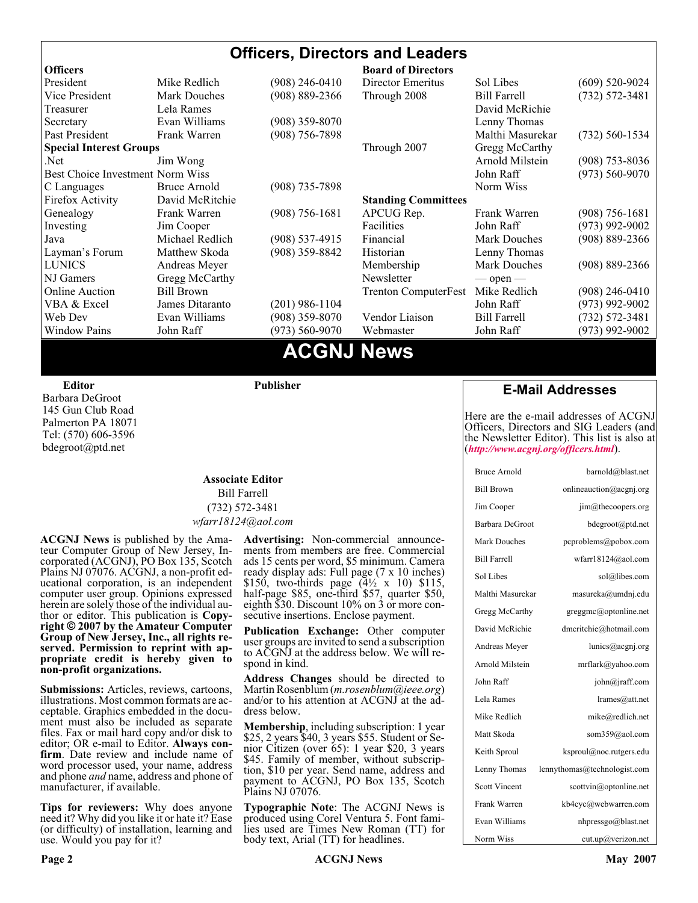#### **Officers, Directors and Leaders Officers Board of Directors**<br> **President Director Mike Redlich** (908) 246-0410 Director Emeritus (908) 246-0410 Director Emeritus Sol Libes (609) 520-9024 Vice President Mark Douches (908) 889-2366 Through 2008 Bill Farrell (732) 572-3481 Treasurer 1988 Lela Rames 1988 Contract and the David McRichie Secretary Evan Williams (908) 359-8070 Lenny Thomas Past President Frank Warren (908) 756-7898 Malthi Masurekar (732) 560-1534 **Special Interest Groups** Through 2007 Gregg McCarthy Net Jim Wong 31 Jim Wong 2008) 353-8036 Best Choice Investment Norm Wiss<br>
C Languages Bruce Arnold (908) 735-7898 (908) 700 Morm Wiss (973) 560-9070 C Languages Bruce Arnold (908) 735-7898<br>Firefox Activity David McRitchie Firefox Activity David McRitchie **Standing Committees** Genealogy Frank Warren (908) 756-1681 APCUG Rep. Frank Warren (908) 756-1681 Investing Jim Cooper Facilities Facilities John Raff (973) 992-9002<br>Java Michael Redlich (908) 537-4915 Financial Mark Douches (908) 889-2366 Java Michael Redlich (908) 537-4915 Financial Mark Douches (908) 889-2366 Layman's Forum Matthew Skoda (908) 359-8842 Historian Lenny Thomas LUNICS Andreas Meyer Membership Mark Douches (908) 889-2366 NJ Gamers Gregg McCarthy Newsletter — open — open — Online Auction Bill Brown Trenton ComputerFest Mike Redlich (908) 246-0410 VBA & Excel James Ditaranto (201) 986-1104 John Raff (973) 992-9002 Web Dev Evan Williams (908) 359-8070 Vendor Liaison Bill Farrell (732) 572-3481 Window Pains John Raff (973) 560-9070 Webmaster John Raff (973) 992-9002

### **ACGNJ News**

**Editor**

Barbara DeGroot 145 Gun Club Road Palmerton PA 18071 Tel: (570) 606-3596 bdegroot@ptd.net

**Publisher**

#### **Associate Editor** Bill Farrell (732) 572-3481 *wfarr18124@aol.com*

**ACGNJ News** is published by the Ama- teur Computer Group of New Jersey, In- corporated (ACGNJ), PO Box 135, Scotch Plains NJ 07076. ACGNJ, a non-profit ed-<br>ucational corporation, is an independent computer user group. Opinions expressed<br>herein are solely those of the individual author or editor. This publication is **Copy-**<br>right © 2007 by the Amateur Computer<br>Group of New Jersey, Inc., all rights re-**Group of New Jersey, Inc., all rights re- served. Permission to reprint with ap- propriate credit is hereby given to non-profit organizations.**

**Submissions:** Articles, reviews, cartoons, illustrations. Most common formats are acceptable. Graphics embedded in the docu-<br>ment must also be included as separate files. Fax or mail hard copy and/or disk to editor: OR e-mail to Editor. **Always con**firm. Date review and include name of word processor used, your name, address and phone *and* name, address and phone of manufacturer, if available.

**Tips for reviewers:** Why does anyone need it? Why did you like it or hate it? Ease (or difficulty) of installation, learning and use. Would you pay for it?

**Advertising:** Non-commercial announce- ments from members are free. Commercial ads 15 cents per word, \$5 minimum. Camera ready display ads: Full page (7 x 10 inches) \$150, two-thirds page (4½ x 10) \$115, half-page \$85, one-third \$57, quarter \$50, eighth \$30. Discount 10% on 3 or more con- secutive insertions. Enclose payment.

**Publication Exchange:** Other computer user groups are invited to send a subscription to ACGNJ at the address below. We will re- spond in kind.

**Address Changes** should be directed to Martin Rosenblum (*m.rosenblum@ieee.org*) and/or to his attention at ACGNJ at the ad- dress below.

**Membership**, including subscription: 1 year \$25, 2 years \$40, 3 years \$55. Student or Senior Citizen (over 65): 1 year \$20, 3 years \$45. Family of member, without subscription, \$10 per year. Send name, address and payment to ACGNJ, PO Box 135, Scotch Plains NJ 07076.

**Typographic Note**: The ACGNJ News is produced using Corel Ventura 5. Font fami- lies used are Times New Roman (TT) for body text, Arial (TT) for headlines.

#### **E-Mail Addresses**

Here are the e-mail addresses of ACGNJ Officers, Directors and SIG Leaders (and the Newsletter Editor). This list is also at (*<http://www.acgnj.org/officers.html>*).

| <b>Bruce Arnold</b>  | barnold@blast.net            |
|----------------------|------------------------------|
| <b>Bill Brown</b>    | onlineauction@acgnj.org      |
| Jim Cooper           | jim@thecoopers.org           |
| Barbara DeGroot      | bdegroot@ptd.net             |
| <b>Mark Douches</b>  | pcproblems@pobox.com         |
| <b>Bill Farrell</b>  | wfarr18124@aol.com           |
| Sol Libes            | sol@libes.com                |
| Malthi Masurekar     | masureka@umdnj.edu           |
| Gregg McCarthy       | greggmc@optonline.net        |
| David McRichie       | dmcritchie@hotmail.com       |
| Andreas Meyer        | lunics@acgnj.org             |
| Arnold Milstein      | mrflark@yahoo.com            |
| John Raff            | john@jraff.com               |
| Lela Rames           | lrames@att.net               |
| Mike Redlich         | mike@redlich.net             |
| Matt Skoda           | som359@aol.com               |
| Keith Sproul         | ksproul@noc.rutgers.edu      |
| Lenny Thomas         | lennythomas@technologist.com |
| <b>Scott Vincent</b> | scottvin@optonline.net       |
| Frank Warren         | kb4cyc@webwarren.com         |
| Evan Williams        | nhpressgo@blast.net          |
| Norm Wiss            | cut.up@verizon.net           |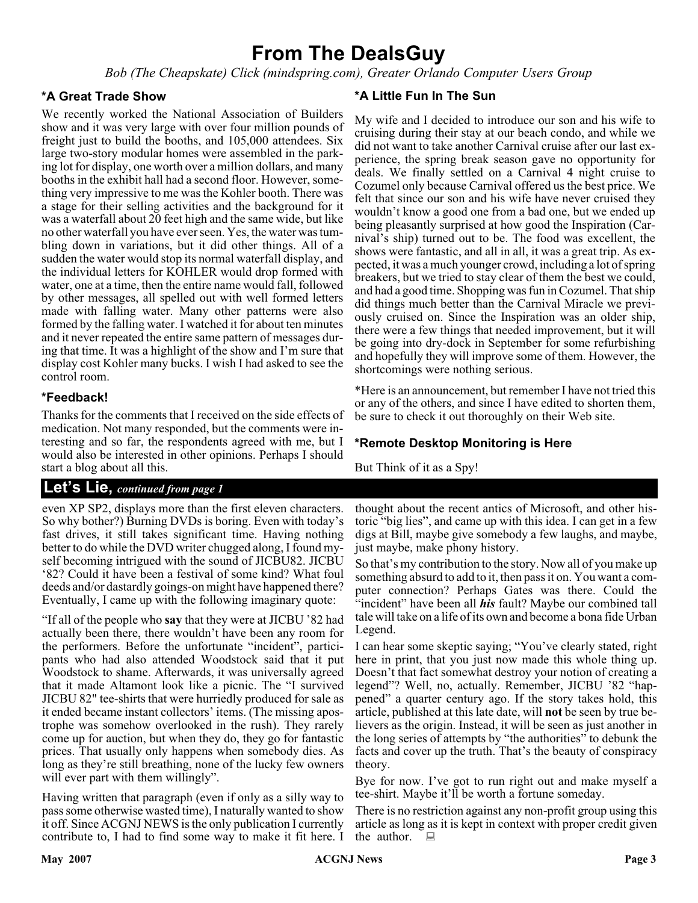# **From The DealsGuy**

*Bob (The Cheapskate) Click (mindspring.com), Greater Orlando Computer Users Group*

#### **\*A Great Trade Show**

We recently worked the National Association of Builders show and it was very large with over four million pounds of freight just to build the booths, and 105,000 attendees. Six large two-story modular homes were assembled in the parking lot for display, one worth over a million dollars, and many booths in the exhibit hall had a second floor. However, something very impressive to me was the Kohler booth. There was a stage for their selling activities and the background for it was a waterfall about 20 feet high and the same wide, but like no other waterfall you have ever seen. Yes, the water was tumbling down in variations, but it did other things. All of a sudden the water would stop its normal waterfall display, and the individual letters for KOHLER would drop formed with water, one at a time, then the entire name would fall, followed by other messages, all spelled out with well formed letters made with falling water. Many other patterns were also formed by the falling water. I watched it for about ten minutes and it never repeated the entire same pattern of messages during that time. It was a highlight of the show and I'm sure that display cost Kohler many bucks. I wish I had asked to see the control room.

#### **\*Feedback!**

Thanks for the comments that I received on the side effects of medication. Not many responded, but the comments were interesting and so far, the respondents agreed with me, but I would also be interested in other opinions. Perhaps I should start a blog about all this.

#### **Let's Lie,** *continued from page 1*

even XP SP2, displays more than the first eleven characters. So why bother?) Burning DVDs is boring. Even with today's fast drives, it still takes significant time. Having nothing better to do while the DVD writer chugged along, I found myself becoming intrigued with the sound of JICBU82. JICBU '82? Could it have been a festival of some kind? What foul deeds and/or dastardly goings-on might have happened there? Eventually, I came up with the following imaginary quote:

"If all of the people who **say** that they were at JICBU '82 had actually been there, there wouldn't have been any room for the performers. Before the unfortunate "incident", participants who had also attended Woodstock said that it put Woodstock to shame. Afterwards, it was universally agreed that it made Altamont look like a picnic. The "I survived JICBU 82" tee-shirts that were hurriedly produced for sale as it ended became instant collectors' items. (The missing apostrophe was somehow overlooked in the rush). They rarely come up for auction, but when they do, they go for fantastic prices. That usually only happens when somebody dies. As long as they're still breathing, none of the lucky few owners will ever part with them willingly".

Having written that paragraph (even if only as a silly way to pass some otherwise wasted time), I naturally wanted to show it off. Since ACGNJ NEWS is the only publication I currently contribute to, I had to find some way to make it fit here. I the author.  $\square$ 

#### **\*A Little Fun In The Sun**

My wife and I decided to introduce our son and his wife to cruising during their stay at our beach condo, and while we did not want to take another Carnival cruise after our last experience, the spring break season gave no opportunity for deals. We finally settled on a Carnival 4 night cruise to Cozumel only because Carnival offered us the best price. We felt that since our son and his wife have never cruised they wouldn't know a good one from a bad one, but we ended up being pleasantly surprised at how good the Inspiration (Carnival's ship) turned out to be. The food was excellent, the shows were fantastic, and all in all, it was a great trip. As expected, it was a much younger crowd, including a lot of spring breakers, but we tried to stay clear of them the best we could, and had a good time. Shopping was fun in Cozumel. That ship did things much better than the Carnival Miracle we previously cruised on. Since the Inspiration was an older ship, there were a few things that needed improvement, but it will be going into dry-dock in September for some refurbishing and hopefully they will improve some of them. However, the shortcomings were nothing serious.

\*Here is an announcement, but remember I have not tried this or any of the others, and since I have edited to shorten them, be sure to check it out thoroughly on their Web site.

#### **\*Remote Desktop Monitoring is Here**

But Think of it as a Spy!

thought about the recent antics of Microsoft, and other historic "big lies", and came up with this idea. I can get in a few digs at Bill, maybe give somebody a few laughs, and maybe, just maybe, make phony history.

So that's my contribution to the story. Now all of you make up something absurd to add to it, then pass it on. You want a computer connection? Perhaps Gates was there. Could the "incident" have been all *his* fault? Maybe our combined tall tale will take on a life of its own and become a bona fide Urban Legend.

I can hear some skeptic saying; "You've clearly stated, right here in print, that you just now made this whole thing up. Doesn't that fact somewhat destroy your notion of creating a legend"? Well, no, actually. Remember, JICBU '82 "happened" a quarter century ago. If the story takes hold, this article, published at this late date, will **not** be seen by true believers as the origin. Instead, it will be seen as just another in the long series of attempts by "the authorities" to debunk the facts and cover up the truth. That's the beauty of conspiracy theory.

Bye for now. I've got to run right out and make myself a tee-shirt. Maybe it'll be worth a fortune someday.

There is no restriction against any non-profit group using this article as long as it is kept in context with proper credit given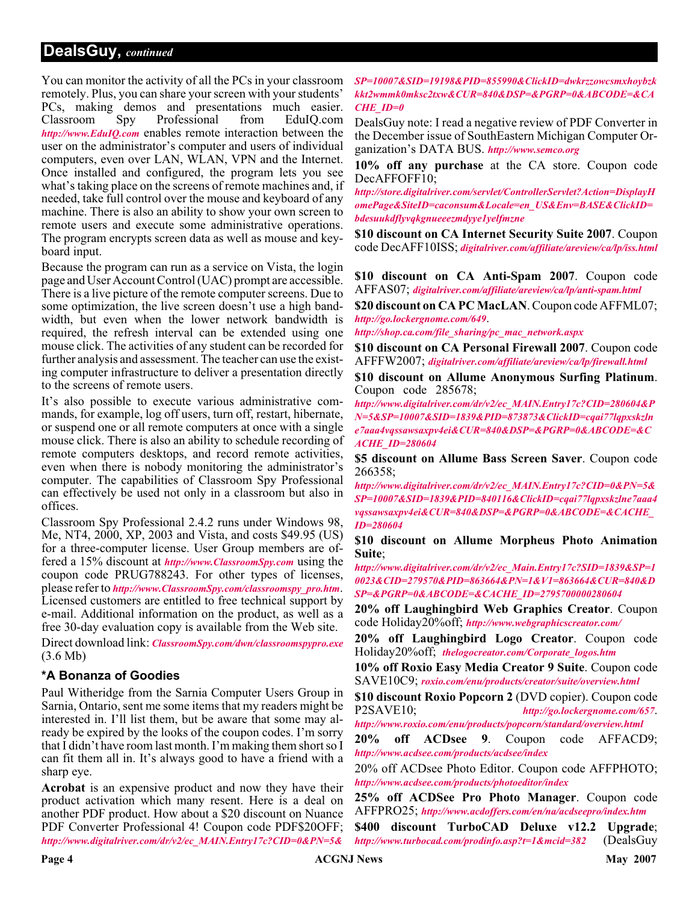#### **DealsGuy,** *continued*

You can monitor the activity of all the PCs in your classroom remotely. Plus, you can share your screen with your students' PCs, making demos and presentations much easier. Classroom Spy Professional from EduIQ.com *<http://www.EduIQ.com>* enables remote interaction between the user on the administrator's computer and users of individual computers, even over LAN, WLAN, VPN and the Internet. Once installed and configured, the program lets you see what's taking place on the screens of remote machines and, if needed, take full control over the mouse and keyboard of any machine. There is also an ability to show your own screen to remote users and execute some administrative operations. The program encrypts screen data as well as mouse and keyboard input.

Because the program can run as a service on Vista, the login page and User Account Control (UAC) prompt are accessible. There is a live picture of the remote computer screens. Due to some optimization, the live screen doesn't use a high bandwidth, but even when the lower network bandwidth is required, the refresh interval can be extended using one mouse click. The activities of any student can be recorded for further analysis and assessment. The teacher can use the existing computer infrastructure to deliver a presentation directly to the screens of remote users.

It's also possible to execute various administrative commands, for example, log off users, turn off, restart, hibernate, or suspend one or all remote computers at once with a single mouse click. There is also an ability to schedule recording of remote computers desktops, and record remote activities, even when there is nobody monitoring the administrator's computer. The capabilities of Classroom Spy Professional can effectively be used not only in a classroom but also in offices.

Classroom Spy Professional 2.4.2 runs under Windows 98, Me, NT4, 2000, XP, 2003 and Vista, and costs \$49.95 (US) for a three-computer license. User Group members are offered a 15% discount at *<http://www.ClassroomSpy.com>* using the coupon code PRUG788243. For other types of licenses, please refer to *[http://www.ClassroomSpy.com/classroomspy\\_pro.htm](http://www.ClassroomSpy.com/classroomspy_pro.htm)*. Licensed customers are entitled to free technical support by e-mail. Additional information on the product, as well as a free 30-day evaluation copy is available from the Web site.

Direct download link: *[ClassroomSpy.com/dwn/classroomspypro.exe](http://www.ClassroomSpy.com/dwn/classroomspypro.exe)* (3.6 Mb)

#### **\*A Bonanza of Goodies**

Paul Witheridge from the Sarnia Computer Users Group in Sarnia, Ontario, sent me some items that my readers might be interested in. I'll list them, but be aware that some may already be expired by the looks of the coupon codes. I'm sorry that I didn't have room last month. I'm making them short so I can fit them all in. It's always good to have a friend with a sharp eye.

**Acrobat** is an expensive product and now they have their product activation which many resent. Here is a deal on another PDF product. How about a \$20 discount on Nuance PDF Converter Professional 4! Coupon code PDF\$20OFF; *[http://www.digitalriver.com/dr/v2/ec\\_MAIN.Entry17c?CID=0&PN=5&](http://www.digitalriver.com/dr/v2/ec_MAIN.Entry17c?CID=0&PN=5&SP=10007&SID=19198&PID=855990&ClickID=dwkrzzowcsmxhoybzkkkt2wmmk0mksc2txw&CUR=840&DSP=&PGRP=0&ABCODE=&CACHE_ID=0)*

*SP=10007&SID=19198&PID=855990&ClickID=dwkrzzowcsmxhoybzk kkt2wmmk0mksc2txw&CUR=840&DSP=&PGRP=0&ABCODE=&CA CHE\_ID=0*

DealsGuy note: I read a negative review of PDF Converter in the December issue of SouthEastern Michigan Computer Organization's DATA BUS. *<http://www.semco.org>*

**10% off any purchase** at the CA store. Coupon code DecAFFOFF10;

*[http://store.digitalriver.com/servlet/ControllerServlet?Action=DisplayH](http://store.digitalriver.com/servlet/ControllerServlet?Action=DisplayHomePage&SiteID=caconsum&Locale=en_US&Env=BASE&ClickID=bdesuukdflyvqkgnueeezmdyye1yelfmzne) omePage&SiteID=caconsum&Locale=en\_US&Env=BASE&ClickID= bdesuukdflyvqkgnueeezmdyye1yelfmzne*

**\$10 discount on CA Internet Security Suite 2007**. Coupon code DecAFF10ISS; *[digitalriver.com/affiliate/areview/ca/lp/iss.html](http://www.digitalriver.com/affiliate/areview/ca/lp/iss.html)*

**\$10 discount on CA Anti-Spam 2007**. Coupon code AFFAS07; *[digitalriver.com/affiliate/areview/ca/lp/anti-spam.html](http://www.digitalriver.com/affiliate/areview/ca/lp/anti-spam.html)*

**\$20 discount on CA PC MacLAN**. Coupon code AFFML07; *<http://go.lockergnome.com/649>*.

*[http://shop.ca.com/file\\_sharing/pc\\_mac\\_network.aspx](http://shop.ca.com/file_sharing/pc_mac_network.aspx)*

**\$10 discount on CA Personal Firewall 2007**. Coupon code AFFFW2007; *[digitalriver.com/affiliate/areview/ca/lp/firewall.html](http://www.digitalriver.com/affiliate/areview/ca/lp/firewall.html)*

**\$10 discount on Allume Anonymous Surfing Platinum**. Coupon code 285678;

*[http://www.digitalriver.com/dr/v2/ec\\_MAIN.Entry17c?CID=280604&P](http://www.digitalriver.com/dr/v2/ec_MAIN.Entry17c?CID=280604&PN=5&SP=10007&SID=1839&PID=873873&ClickID=cqai77lqpxskzlne7aaa4vqssawsaxpv4ei&CUR=840&DSP=&PGRP=0&ABCODE=&CACHE_ID=280604) N=5&SP=10007&SID=1839&PID=873873&ClickID=cqai77lqpxskzln e7aaa4vqssawsaxpv4ei&CUR=840&DSP=&PGRP=0&ABCODE=&C ACHE\_ID=280604*

**\$5 discount on Allume Bass Screen Saver**. Coupon code 266358;

*[http://www.digitalriver.com/dr/v2/ec\\_MAIN.Entry17c?CID=0&PN=5&](http://www.digitalriver.com/dr/v2/ec_MAIN.Entry17c?CID=0&PN=5&SP=10007&SID=1839&PID=840116&ClickID=cqai77lqpxskzlne7aaa4vqssawsaxpv4ei&CUR=840&DSP=&PGRP=0&ABCODE=&CACHE_ID=280604) SP=10007&SID=1839&PID=840116&ClickID=cqai77lqpxskzlne7aaa4 vqssawsaxpv4ei&CUR=840&DSP=&PGRP=0&ABCODE=&CACHE\_ ID=280604*

**\$10 discount on Allume Morpheus Photo Animation Suite**;

*[http://www.digitalriver.com/dr/v2/ec\\_Main.Entry17c?SID=1839&SP=1](http://www.digitalriver.com/dr/v2/ec_Main.Entry17c?SID=1839&SP=10023&CID=279570&PID=863664&PN=1&V1=863664&CUR=840&DSP=&PGRP=0&ABCODE=&CACHE_ID=2795700000280604) 0023&CID=279570&PID=863664&PN=1&V1=863664&CUR=840&D SP=&PGRP=0&ABCODE=&CACHE\_ID=2795700000280604*

**20% off Laughingbird Web Graphics Creator**. Coupon code Holiday20%off; *<http://www.webgraphicscreator.com/>*

**20% off Laughingbird Logo Creator**. Coupon code Holiday20%off; *[thelogocreator.com/Corporate\\_logos.htm](http://www.thelogocreator.com/Corporate_logos.htm)*

**10% off Roxio Easy Media Creator 9 Suite**. Coupon code SAVE10C9; *[roxio.com/enu/products/creator/suite/overview.html](http://www.roxio.com/enu/products/creator/suite/overview.html)*

**\$10 discount Roxio Popcorn 2** (DVD copier). Coupon code P2SAVE10; *<http://go.lockergnome.com/657>*.

*<http://www.roxio.com/enu/products/popcorn/standard/overview.html>*

**20% off ACDsee 9**. Coupon code AFFACD9; *<http://www.acdsee.com/products/acdsee/index>*

20% off ACDsee Photo Editor. Coupon code AFFPHOTO; *<http://www.acdsee.com/products/photoeditor/index>*

**25% off ACDSee Pro Photo Manager**. Coupon code AFFPRO25; *<http://www.acdoffers.com/en/na/acdseepro/index.htm>*

**\$400 discount TurboCAD Deluxe v12.2 Upgrade**; *<http://www.turbocad.com/prodinfo.asp?t=1&mcid=382>* (DealsGuy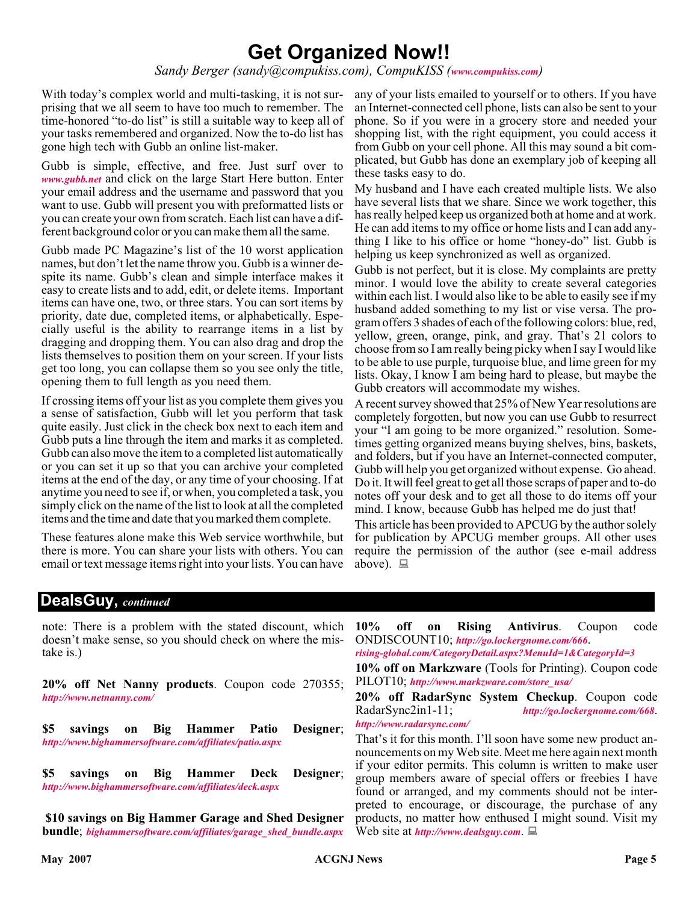# **Get Organized Now!!**

*Sandy Berger (sandy@compukiss.com), CompuKISS ([www.compukiss.com](http://www.compukiss.com))*

With today's complex world and multi-tasking, it is not surprising that we all seem to have too much to remember. The time-honored "to-do list" is still a suitable way to keep all of your tasks remembered and organized. Now the to-do list has gone high tech with Gubb an online list-maker.

Gubb is simple, effective, and free. Just surf over to *[www.gubb.net](http://www.gubb.net)* and click on the large Start Here button. Enter your email address and the username and password that you want to use. Gubb will present you with preformatted lists or you can create your own from scratch. Each list can have a different background color or you can make them all the same.

Gubb made PC Magazine's list of the 10 worst application names, but don't let the name throw you. Gubb is a winner despite its name. Gubb's clean and simple interface makes it easy to create lists and to add, edit, or delete items. Important items can have one, two, or three stars. You can sort items by priority, date due, completed items, or alphabetically. Especially useful is the ability to rearrange items in a list by dragging and dropping them. You can also drag and drop the lists themselves to position them on your screen. If your lists get too long, you can collapse them so you see only the title, opening them to full length as you need them.

If crossing items off your list as you complete them gives you a sense of satisfaction, Gubb will let you perform that task quite easily. Just click in the check box next to each item and Gubb puts a line through the item and marks it as completed. Gubb can also move the item to a completed list automatically or you can set it up so that you can archive your completed items at the end of the day, or any time of your choosing. If at anytime you need to see if, or when, you completed a task, you simply click on the name of the list to look at all the completed items and the time and date that you marked them complete.

These features alone make this Web service worthwhile, but there is more. You can share your lists with others. You can email or text message items right into your lists. You can have

any of your lists emailed to yourself or to others. If you have an Internet-connected cell phone, lists can also be sent to your phone. So if you were in a grocery store and needed your shopping list, with the right equipment, you could access it from Gubb on your cell phone. All this may sound a bit complicated, but Gubb has done an exemplary job of keeping all these tasks easy to do.

My husband and I have each created multiple lists. We also have several lists that we share. Since we work together, this has really helped keep us organized both at home and at work. He can add items to my office or home lists and I can add anything I like to his office or home "honey-do" list. Gubb is helping us keep synchronized as well as organized.

Gubb is not perfect, but it is close. My complaints are pretty minor. I would love the ability to create several categories within each list. I would also like to be able to easily see if my husband added something to my list or vise versa. The program offers 3 shades of each of the following colors: blue, red, yellow, green, orange, pink, and gray. That's 21 colors to choose from so I am really being picky when I say I would like to be able to use purple, turquoise blue, and lime green for my lists. Okay, I know I am being hard to please, but maybe the Gubb creators will accommodate my wishes.

A recent survey showed that 25% of New Year resolutions are completely forgotten, but now you can use Gubb to resurrect your "I am going to be more organized." resolution. Sometimes getting organized means buying shelves, bins, baskets, and folders, but if you have an Internet-connected computer, Gubb will help you get organized without expense. Go ahead. Do it. It will feel great to get all those scraps of paper and to-do notes off your desk and to get all those to do items off your mind. I know, because Gubb has helped me do just that!

This article has been provided to APCUG by the author solely for publication by APCUG member groups. All other uses require the permission of the author (see e-mail address above).  $\Box$ 

#### **DealsGuy,** *continued*

note: There is a problem with the stated discount, which doesn't make sense, so you should check on where the mistake is.)

**20% off Net Nanny products**. Coupon code 270355; *<http://www.netnanny.com/>*

**\$5 savings on Big Hammer Patio Designer**; *<http://www.bighammersoftware.com/affiliates/patio.aspx>*

**\$5 savings on Big Hammer Deck Designer**; *<http://www.bighammersoftware.com/affiliates/deck.aspx>*

**\$10 savings on Big Hammer Garage and Shed Designer bundle**; *[bighammersoftware.com/affiliates/garage\\_shed\\_bundle.aspx](http://www.bighammersoftware.com/affiliates/garage_shed_bundle.aspx)*

**10% off on Rising Antivirus**. Coupon code ONDISCOUNT10; *<http://go.lockergnome.com/666>*.

*[rising-global.com/CategoryDetail.aspx?MenuId=1&CategoryId=3](http://www.rising-global.com/CategoryDetail.aspx?MenuId=1&CategoryId=3)*

**10% off on Markzware** (Tools for Printing). Coupon code PILOT10; *[http://www.markzware.com/store\\_usa/](http://www.markzware.com/store_usa/)*

**20% off RadarSync System Checkup**. Coupon code RadarSync2in1-11; *<http://go.lockergnome.com/668>*. *<http://www.radarsync.com/>*

That's it for this month. I'll soon have some new product announcements on my Web site. Meet me here again next month if your editor permits. This column is written to make user group members aware of special offers or freebies I have found or arranged, and my comments should not be interpreted to encourage, or discourage, the purchase of any products, no matter how enthused I might sound. Visit my Web site at *<http://www.dealsguy.com>*.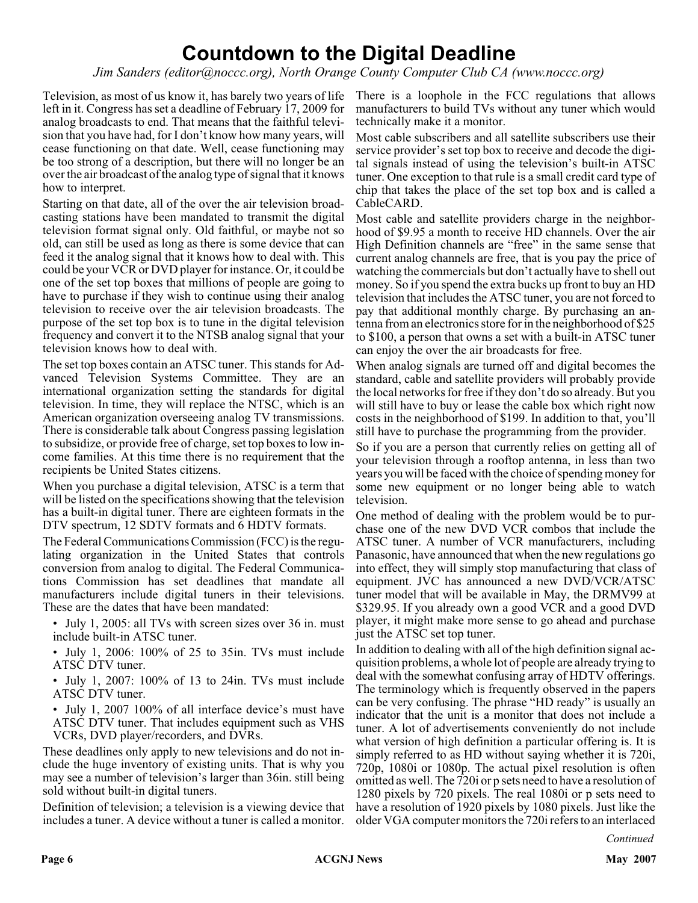# **Countdown to the Digital Deadline**

*Jim Sanders (editor@noccc.org), North Orange County Computer Club CA (www.noccc.org)*

Television, as most of us know it, has barely two years of life left in it. Congress has set a deadline of February 17, 2009 for analog broadcasts to end. That means that the faithful television that you have had, for I don't know how many years, will cease functioning on that date. Well, cease functioning may be too strong of a description, but there will no longer be an over the air broadcast of the analog type of signal that it knows how to interpret.

Starting on that date, all of the over the air television broadcasting stations have been mandated to transmit the digital television format signal only. Old faithful, or maybe not so old, can still be used as long as there is some device that can feed it the analog signal that it knows how to deal with. This could be your VCR or DVD player for instance. Or, it could be one of the set top boxes that millions of people are going to have to purchase if they wish to continue using their analog television to receive over the air television broadcasts. The purpose of the set top box is to tune in the digital television frequency and convert it to the NTSB analog signal that your television knows how to deal with.

The set top boxes contain an ATSC tuner. This stands for Advanced Television Systems Committee. They are an international organization setting the standards for digital television. In time, they will replace the NTSC, which is an American organization overseeing analog TV transmissions. There is considerable talk about Congress passing legislation to subsidize, or provide free of charge, set top boxes to low income families. At this time there is no requirement that the recipients be United States citizens.

When you purchase a digital television, ATSC is a term that will be listed on the specifications showing that the television has a built-in digital tuner. There are eighteen formats in the DTV spectrum, 12 SDTV formats and 6 HDTV formats.

The Federal Communications Commission (FCC) is the regulating organization in the United States that controls conversion from analog to digital. The Federal Communications Commission has set deadlines that mandate all manufacturers include digital tuners in their televisions. These are the dates that have been mandated:

- July 1, 2005: all TVs with screen sizes over 36 in. must include built-in ATSC tuner.
- July 1, 2006: 100% of 25 to 35in. TVs must include ATSC DTV tuner.
- July 1, 2007: 100% of 13 to 24in. TVs must include ATSC DTV tuner.
- July 1, 2007 100% of all interface device's must have ATSC DTV tuner. That includes equipment such as VHS VCRs, DVD player/recorders, and DVRs.

These deadlines only apply to new televisions and do not include the huge inventory of existing units. That is why you may see a number of television's larger than 36in. still being sold without built-in digital tuners.

Definition of television; a television is a viewing device that includes a tuner. A device without a tuner is called a monitor.

There is a loophole in the FCC regulations that allows manufacturers to build TVs without any tuner which would technically make it a monitor.

Most cable subscribers and all satellite subscribers use their service provider's set top box to receive and decode the digital signals instead of using the television's built-in ATSC tuner. One exception to that rule is a small credit card type of chip that takes the place of the set top box and is called a CableCARD.

Most cable and satellite providers charge in the neighborhood of \$9.95 a month to receive HD channels. Over the air High Definition channels are "free" in the same sense that current analog channels are free, that is you pay the price of watching the commercials but don't actually have to shell out money. So if you spend the extra bucks up front to buy an HD television that includes the ATSC tuner, you are not forced to pay that additional monthly charge. By purchasing an antenna from an electronics store for in the neighborhood of \$25 to \$100, a person that owns a set with a built-in ATSC tuner can enjoy the over the air broadcasts for free.

When analog signals are turned off and digital becomes the standard, cable and satellite providers will probably provide the local networks for free if they don't do so already. But you will still have to buy or lease the cable box which right now costs in the neighborhood of \$199. In addition to that, you'll still have to purchase the programming from the provider.

So if you are a person that currently relies on getting all of your television through a rooftop antenna, in less than two years you will be faced with the choice of spending money for some new equipment or no longer being able to watch television.

One method of dealing with the problem would be to purchase one of the new DVD VCR combos that include the ATSC tuner. A number of VCR manufacturers, including Panasonic, have announced that when the new regulations go into effect, they will simply stop manufacturing that class of equipment. JVC has announced a new DVD/VCR/ATSC tuner model that will be available in May, the DRMV99 at \$329.95. If you already own a good VCR and a good DVD player, it might make more sense to go ahead and purchase just the ATSC set top tuner.

In addition to dealing with all of the high definition signal acquisition problems, a whole lot of people are already trying to deal with the somewhat confusing array of HDTV offerings. The terminology which is frequently observed in the papers can be very confusing. The phrase "HD ready" is usually an indicator that the unit is a monitor that does not include a tuner. A lot of advertisements conveniently do not include what version of high definition a particular offering is. It is simply referred to as HD without saying whether it is 720i, 720p, 1080i or 1080p. The actual pixel resolution is often omitted as well. The 720i or p sets need to have a resolution of 1280 pixels by 720 pixels. The real 1080i or p sets need to have a resolution of 1920 pixels by 1080 pixels. Just like the older VGA computer monitors the 720i refers to an interlaced

*Continued*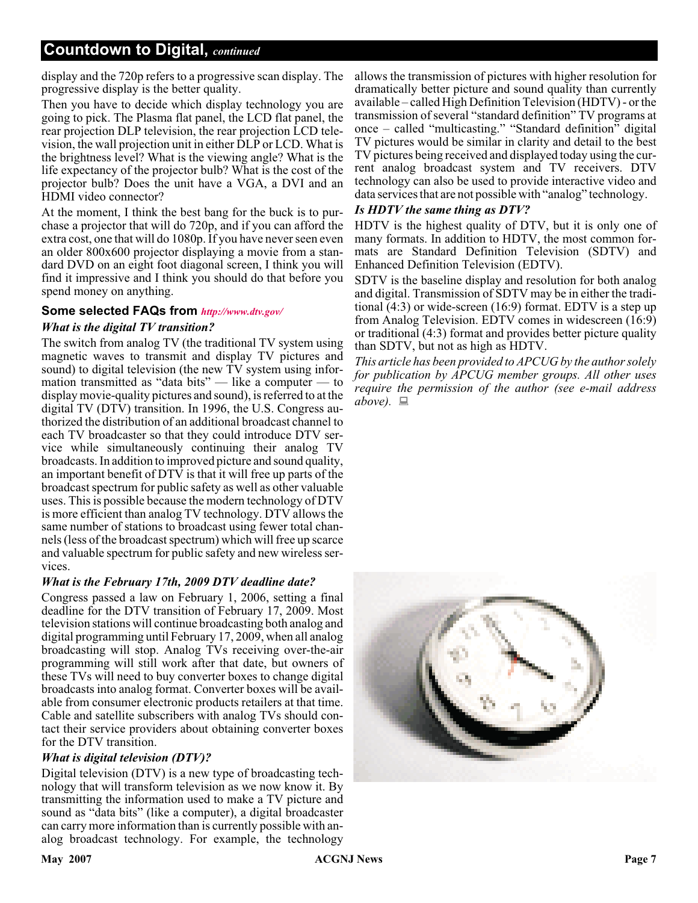### **Countdown to Digital,** *continued*

display and the 720p refers to a progressive scan display. The progressive display is the better quality.

Then you have to decide which display technology you are going to pick. The Plasma flat panel, the LCD flat panel, the rear projection DLP television, the rear projection LCD television, the wall projection unit in either DLP or LCD. What is the brightness level? What is the viewing angle? What is the life expectancy of the projector bulb? What is the cost of the projector bulb? Does the unit have a VGA, a DVI and an HDMI video connector?

At the moment, I think the best bang for the buck is to purchase a projector that will do 720p, and if you can afford the extra cost, one that will do 1080p. If you have never seen even an older 800x600 projector displaying a movie from a standard DVD on an eight foot diagonal screen, I think you will find it impressive and I think you should do that before you spend money on anything.

#### **Some selected FAQs from** *<http://www.dtv.gov/>*

#### *What is the digital TV transition?*

The switch from analog TV (the traditional TV system using magnetic waves to transmit and display TV pictures and sound) to digital television (the new TV system using information transmitted as "data bits" — like a computer — to display movie-quality pictures and sound), is referred to at the digital TV (DTV) transition. In 1996, the U.S. Congress authorized the distribution of an additional broadcast channel to each TV broadcaster so that they could introduce DTV service while simultaneously continuing their analog TV broadcasts. In addition to improved picture and sound quality, an important benefit of DTV is that it will free up parts of the broadcast spectrum for public safety as well as other valuable uses. This is possible because the modern technology of DTV is more efficient than analog TV technology. DTV allows the same number of stations to broadcast using fewer total channels (less of the broadcast spectrum) which will free up scarce and valuable spectrum for public safety and new wireless services.

#### *What is the February 17th, 2009 DTV deadline date?*

Congress passed a law on February 1, 2006, setting a final deadline for the DTV transition of February 17, 2009. Most television stations will continue broadcasting both analog and digital programming until February 17, 2009, when all analog broadcasting will stop. Analog TVs receiving over-the-air programming will still work after that date, but owners of these TVs will need to buy converter boxes to change digital broadcasts into analog format. Converter boxes will be available from consumer electronic products retailers at that time. Cable and satellite subscribers with analog TVs should contact their service providers about obtaining converter boxes for the DTV transition.

#### *What is digital television (DTV)?*

Digital television (DTV) is a new type of broadcasting technology that will transform television as we now know it. By transmitting the information used to make a TV picture and sound as "data bits" (like a computer), a digital broadcaster can carry more information than is currently possible with analog broadcast technology. For example, the technology

allows the transmission of pictures with higher resolution for dramatically better picture and sound quality than currently available – called High Definition Television (HDTV) - or the transmission of several "standard definition" TV programs at once – called "multicasting." "Standard definition" digital TV pictures would be similar in clarity and detail to the best TV pictures being received and displayed today using the current analog broadcast system and TV receivers. DTV technology can also be used to provide interactive video and data services that are not possible with "analog" technology.

#### *Is HDTV the same thing as DTV?*

HDTV is the highest quality of DTV, but it is only one of many formats. In addition to HDTV, the most common formats are Standard Definition Television (SDTV) and Enhanced Definition Television (EDTV).

SDTV is the baseline display and resolution for both analog and digital. Transmission of SDTV may be in either the traditional (4:3) or wide-screen (16:9) format. EDTV is a step up from Analog Television. EDTV comes in widescreen (16:9) or traditional (4:3) format and provides better picture quality than SDTV, but not as high as HDTV.

*This article has been provided to APCUG by the author solely for publication by APCUG member groups. All other uses require the permission of the author (see e-mail address above).*

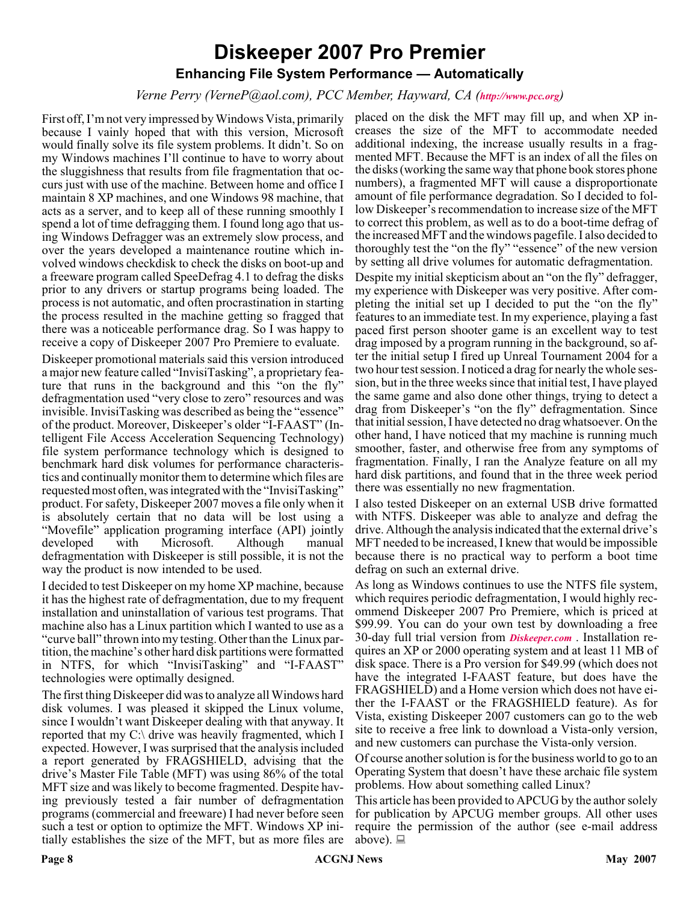# **Diskeeper 2007 Pro Premier Enhancing File System Performance — Automatically**

#### *Verne Perry (VerneP@aol.com), PCC Member, Hayward, CA (<http://www.pcc.org>)*

First off, I'm not very impressed by Windows Vista, primarily because I vainly hoped that with this version, Microsoft would finally solve its file system problems. It didn't. So on my Windows machines I'll continue to have to worry about the sluggishness that results from file fragmentation that occurs just with use of the machine. Between home and office I maintain 8 XP machines, and one Windows 98 machine, that acts as a server, and to keep all of these running smoothly I spend a lot of time defragging them. I found long ago that using Windows Defragger was an extremely slow process, and over the years developed a maintenance routine which involved windows checkdisk to check the disks on boot-up and a freeware program called SpeeDefrag 4.1 to defrag the disks prior to any drivers or startup programs being loaded. The process is not automatic, and often procrastination in starting the process resulted in the machine getting so fragged that there was a noticeable performance drag. So I was happy to receive a copy of Diskeeper 2007 Pro Premiere to evaluate.

Diskeeper promotional materials said this version introduced a major new feature called "InvisiTasking", a proprietary feature that runs in the background and this "on the fly" defragmentation used "very close to zero" resources and was invisible. InvisiTasking was described as being the "essence" of the product. Moreover, Diskeeper's older "I-FAAST" (Intelligent File Access Acceleration Sequencing Technology) file system performance technology which is designed to benchmark hard disk volumes for performance characteristics and continually monitor them to determine which files are requested most often, was integrated with the "InvisiTasking" product. For safety, Diskeeper 2007 moves a file only when it is absolutely certain that no data will be lost using a "Movefile" application programing interface (API) jointly developed with Microsoft. Although manual defragmentation with Diskeeper is still possible, it is not the way the product is now intended to be used.

I decided to test Diskeeper on my home XP machine, because it has the highest rate of defragmentation, due to my frequent installation and uninstallation of various test programs. That machine also has a Linux partition which I wanted to use as a "curve ball" thrown into my testing. Other than the Linux partition, the machine's other hard disk partitions were formatted in NTFS, for which "InvisiTasking" and "I-FAAST" technologies were optimally designed.

The first thing Diskeeper did was to analyze all Windows hard disk volumes. I was pleased it skipped the Linux volume, since I wouldn't want Diskeeper dealing with that anyway. It reported that my C:\ drive was heavily fragmented, which I expected. However, I was surprised that the analysis included a report generated by FRAGSHIELD, advising that the drive's Master File Table (MFT) was using 86% of the total MFT size and was likely to become fragmented. Despite having previously tested a fair number of defragmentation programs (commercial and freeware) I had never before seen such a test or option to optimize the MFT. Windows XP initially establishes the size of the MFT, but as more files are

placed on the disk the MFT may fill up, and when XP increases the size of the MFT to accommodate needed additional indexing, the increase usually results in a fragmented MFT. Because the MFT is an index of all the files on the disks (working the same way that phone book stores phone numbers), a fragmented MFT will cause a disproportionate amount of file performance degradation. So I decided to follow Diskeeper's recommendation to increase size of the MFT to correct this problem, as well as to do a boot-time defrag of the increased MFT and the windows pagefile. I also decided to thoroughly test the "on the fly" "essence" of the new version by setting all drive volumes for automatic defragmentation. Despite my initial skepticism about an "on the fly" defragger, my experience with Diskeeper was very positive. After completing the initial set up I decided to put the "on the fly" features to an immediate test. In my experience, playing a fast paced first person shooter game is an excellent way to test drag imposed by a program running in the background, so after the initial setup I fired up Unreal Tournament 2004 for a two hour test session. I noticed a drag for nearly the whole session, but in the three weeks since that initial test, I have played the same game and also done other things, trying to detect a drag from Diskeeper's "on the fly" defragmentation. Since that initial session, I have detected no drag whatsoever. On the other hand, I have noticed that my machine is running much smoother, faster, and otherwise free from any symptoms of

fragmentation. Finally, I ran the Analyze feature on all my hard disk partitions, and found that in the three week period there was essentially no new fragmentation. I also tested Diskeeper on an external USB drive formatted

with NTFS. Diskeeper was able to analyze and defrag the drive. Although the analysis indicated that the external drive's MFT needed to be increased, I knew that would be impossible because there is no practical way to perform a boot time defrag on such an external drive.

As long as Windows continues to use the NTFS file system, which requires periodic defragmentation, I would highly recommend Diskeeper 2007 Pro Premiere, which is priced at \$99.99. You can do your own test by downloading a free 30-day full trial version from *[Diskeeper.com](http://Diskeeper.com )* . Installation requires an XP or 2000 operating system and at least 11 MB of disk space. There is a Pro version for \$49.99 (which does not have the integrated I-FAAST feature, but does have the FRAGSHIELD) and a Home version which does not have either the I-FAAST or the FRAGSHIELD feature). As for Vista, existing Diskeeper 2007 customers can go to the web site to receive a free link to download a Vista-only version, and new customers can purchase the Vista-only version.

Of course another solution is for the business world to go to an Operating System that doesn't have these archaic file system problems. How about something called Linux?

This article has been provided to APCUG by the author solely for publication by APCUG member groups. All other uses require the permission of the author (see e-mail address above).  $\Box$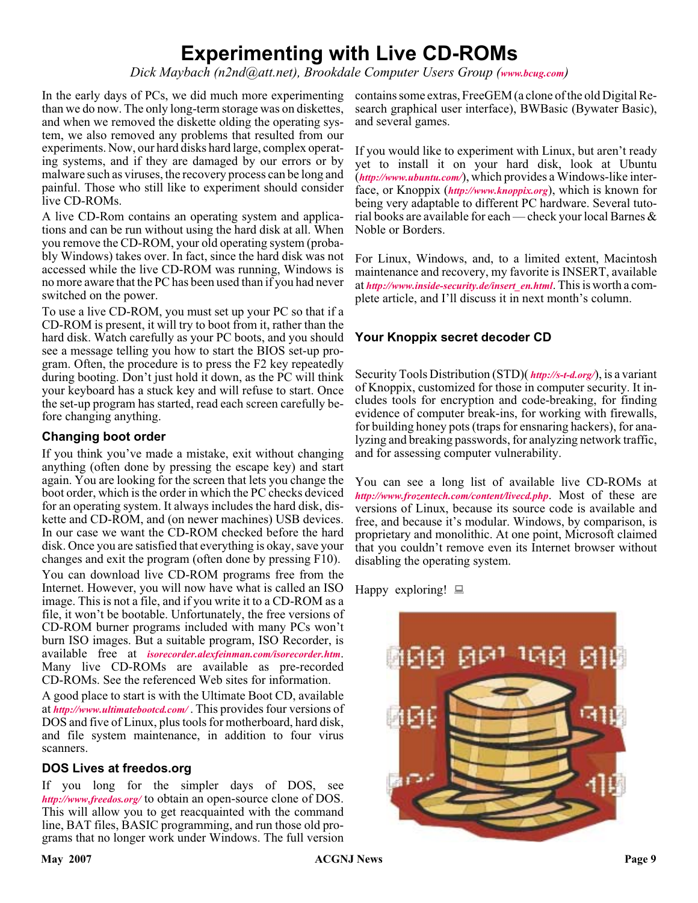# **Experimenting with Live CD-ROMs**

*Dick Maybach (n2nd@att.net), Brookdale Computer Users Group ([www.bcug.com](http://www.bcug.com))*

In the early days of PCs, we did much more experimenting than we do now. The only long-term storage was on diskettes, and when we removed the diskette olding the operating system, we also removed any problems that resulted from our experiments. Now, our hard disks hard large, complex operating systems, and if they are damaged by our errors or by malware such as viruses, the recovery process can be long and painful. Those who still like to experiment should consider live CD-ROMs.

A live CD-Rom contains an operating system and applications and can be run without using the hard disk at all. When you remove the CD-ROM, your old operating system (probably Windows) takes over. In fact, since the hard disk was not accessed while the live CD-ROM was running, Windows is no more aware that the PC has been used than if you had never switched on the power.

To use a live CD-ROM, you must set up your PC so that if a CD-ROM is present, it will try to boot from it, rather than the hard disk. Watch carefully as your PC boots, and you should see a message telling you how to start the BIOS set-up program. Often, the procedure is to press the F2 key repeatedly during booting. Don't just hold it down, as the PC will think your keyboard has a stuck key and will refuse to start. Once the set-up program has started, read each screen carefully before changing anything.

#### **Changing boot order**

If you think you've made a mistake, exit without changing anything (often done by pressing the escape key) and start again. You are looking for the screen that lets you change the boot order, which is the order in which the PC checks deviced for an operating system. It always includes the hard disk, diskette and CD-ROM, and (on newer machines) USB devices. In our case we want the CD-ROM checked before the hard disk. Once you are satisfied that everything is okay, save your changes and exit the program (often done by pressing F10). You can download live CD-ROM programs free from the Internet. However, you will now have what is called an ISO image. This is not a file, and if you write it to a CD-ROM as a file, it won't be bootable. Unfortunately, the free versions of CD-ROM burner programs included with many PCs won't burn ISO images. But a suitable program, ISO Recorder, is available free at *[isorecorder.alexfeinman.com/isorecorder.htm](http://isorecorder.alexfeinman.com/isorecorder.htm)*. Many live CD-ROMs are available as pre-recorded CD-ROMs. See the referenced Web sites for information.

A good place to start is with the Ultimate Boot CD, available at *<http://www.ultimatebootcd.com/>* . This provides four versions of DOS and five of Linux, plus tools for motherboard, hard disk, and file system maintenance, in addition to four virus scanners.

#### **DOS Lives at freedos.org**

If you long for the simpler days of DOS, see *<http://www,freedos.org/>* to obtain an open-source clone of DOS. This will allow you to get reacquainted with the command line, BAT files, BASIC programming, and run those old programs that no longer work under Windows. The full version

contains some extras, FreeGEM (a clone of the old Digital Research graphical user interface), BWBasic (Bywater Basic), and several games.

If you would like to experiment with Linux, but aren't ready yet to install it on your hard disk, look at Ubuntu (*<http://www.ubuntu.com/>*), which provides a Windows-like interface, or Knoppix (*<http://www.knoppix.org>*), which is known for being very adaptable to different PC hardware. Several tutorial books are available for each — check your local Barnes & Noble or Borders.

For Linux, Windows, and, to a limited extent, Macintosh maintenance and recovery, my favorite is INSERT, available at *[http://www.inside-security.de/insert\\_en.html](http://www.inside-security.de/insert_en.html)*. This is worth a complete article, and I'll discuss it in next month's column.

#### **Your Knoppix secret decoder CD**

Security Tools Distribution (STD)( *<http://s-t-d.org/>*), is a variant of Knoppix, customized for those in computer security. It includes tools for encryption and code-breaking, for finding evidence of computer break-ins, for working with firewalls, for building honey pots (traps for ensnaring hackers), for analyzing and breaking passwords, for analyzing network traffic, and for assessing computer vulnerability.

You can see a long list of available live CD-ROMs at *<http://www.frozentech.com/content/livecd.php>*. Most of these are versions of Linux, because its source code is available and free, and because it's modular. Windows, by comparison, is proprietary and monolithic. At one point, Microsoft claimed that you couldn't remove even its Internet browser without disabling the operating system.

Happy exploring!  $\Box$ 

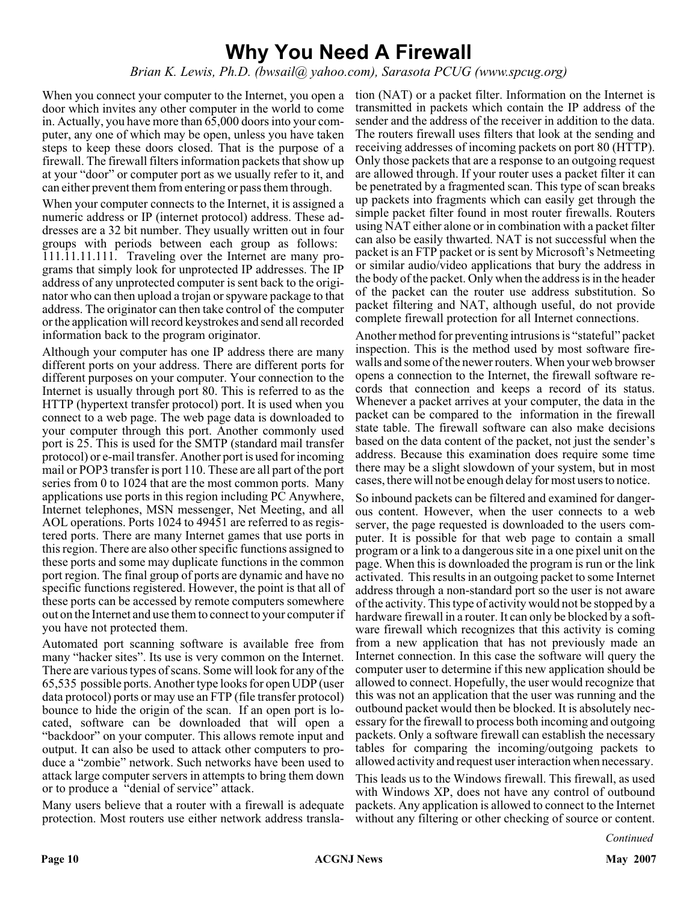# **Why You Need A Firewall**

*Brian K. Lewis, Ph.D. (bwsail@ yahoo.com), Sarasota PCUG (www.spcug.org)*

When you connect your computer to the Internet, you open a tion (NAT) or a packet filter. Information on the Internet is door which invites any other computer in the world to come in. Actually, you have more than 65,000 doors into your computer, any one of which may be open, unless you have taken steps to keep these doors closed. That is the purpose of a firewall. The firewall filters information packets that show up at your "door" or computer port as we usually refer to it, and can either prevent them from entering or pass them through.

When your computer connects to the Internet, it is assigned a numeric address or IP (internet protocol) address. These addresses are a 32 bit number. They usually written out in four groups with periods between each group as follows: 111.11.11.111. Traveling over the Internet are many programs that simply look for unprotected IP addresses. The IP address of any unprotected computer is sent back to the originator who can then upload a trojan or spyware package to that address. The originator can then take control of the computer or the application will record keystrokes and send all recorded information back to the program originator.

Although your computer has one IP address there are many different ports on your address. There are different ports for different purposes on your computer. Your connection to the Internet is usually through port 80. This is referred to as the HTTP (hypertext transfer protocol) port. It is used when you connect to a web page. The web page data is downloaded to your computer through this port. Another commonly used port is 25. This is used for the SMTP (standard mail transfer protocol) or e-mail transfer. Another port is used for incoming mail or POP3 transfer is port 110. These are all part of the port series from 0 to 1024 that are the most common ports. Many applications use ports in this region including PC Anywhere, Internet telephones, MSN messenger, Net Meeting, and all AOL operations. Ports 1024 to 49451 are referred to as registered ports. There are many Internet games that use ports in this region. There are also other specific functions assigned to these ports and some may duplicate functions in the common port region. The final group of ports are dynamic and have no specific functions registered. However, the point is that all of these ports can be accessed by remote computers somewhere out on the Internet and use them to connect to your computer if you have not protected them.

Automated port scanning software is available free from many "hacker sites". Its use is very common on the Internet. There are various types of scans. Some will look for any of the 65,535 possible ports. Another type looks for open UDP (user data protocol) ports or may use an FTP (file transfer protocol) bounce to hide the origin of the scan. If an open port is located, software can be downloaded that will open a "backdoor" on your computer. This allows remote input and output. It can also be used to attack other computers to produce a "zombie" network. Such networks have been used to attack large computer servers in attempts to bring them down or to produce a "denial of service" attack.

Many users believe that a router with a firewall is adequate protection. Most routers use either network address translatransmitted in packets which contain the IP address of the sender and the address of the receiver in addition to the data. The routers firewall uses filters that look at the sending and receiving addresses of incoming packets on port 80 (HTTP). Only those packets that are a response to an outgoing request are allowed through. If your router uses a packet filter it can be penetrated by a fragmented scan. This type of scan breaks up packets into fragments which can easily get through the simple packet filter found in most router firewalls. Routers using NAT either alone or in combination with a packet filter can also be easily thwarted. NAT is not successful when the packet is an FTP packet or is sent by Microsoft's Netmeeting or similar audio/video applications that bury the address in the body of the packet. Only when the address is in the header of the packet can the router use address substitution. So packet filtering and NAT, although useful, do not provide complete firewall protection for all Internet connections.

Another method for preventing intrusions is "stateful" packet inspection. This is the method used by most software firewalls and some of the newer routers. When your web browser opens a connection to the Internet, the firewall software records that connection and keeps a record of its status. Whenever a packet arrives at your computer, the data in the packet can be compared to the information in the firewall state table. The firewall software can also make decisions based on the data content of the packet, not just the sender's address. Because this examination does require some time there may be a slight slowdown of your system, but in most cases, there will not be enough delay for most users to notice.

So inbound packets can be filtered and examined for dangerous content. However, when the user connects to a web server, the page requested is downloaded to the users computer. It is possible for that web page to contain a small program or a link to a dangerous site in a one pixel unit on the page. When this is downloaded the program is run or the link activated. This results in an outgoing packet to some Internet address through a non-standard port so the user is not aware of the activity. This type of activity would not be stopped by a hardware firewall in a router. It can only be blocked by a software firewall which recognizes that this activity is coming from a new application that has not previously made an Internet connection. In this case the software will query the computer user to determine if this new application should be allowed to connect. Hopefully, the user would recognize that this was not an application that the user was running and the outbound packet would then be blocked. It is absolutely necessary for the firewall to process both incoming and outgoing packets. Only a software firewall can establish the necessary tables for comparing the incoming/outgoing packets to allowed activity and request user interaction when necessary.

This leads us to the Windows firewall. This firewall, as used with Windows XP, does not have any control of outbound packets. Any application is allowed to connect to the Internet without any filtering or other checking of source or content.

*Continued*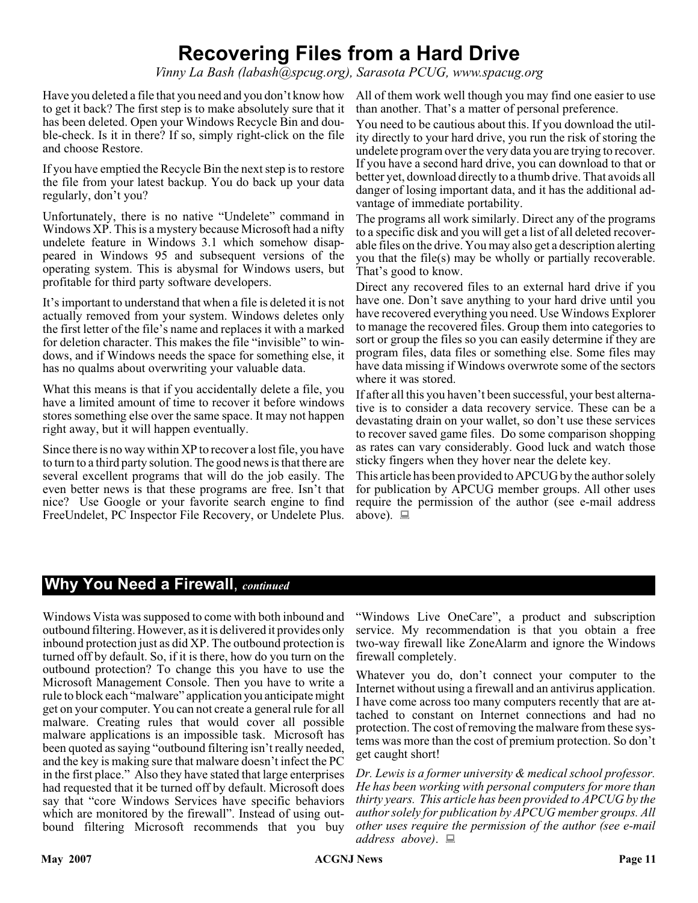# **Recovering Files from a Hard Drive**

*Vinny La Bash (labash@spcug.org), Sarasota PCUG, www.spacug.org*

Have you deleted a file that you need and you don't know how to get it back? The first step is to make absolutely sure that it has been deleted. Open your Windows Recycle Bin and double-check. Is it in there? If so, simply right-click on the file and choose Restore.

If you have emptied the Recycle Bin the next step is to restore the file from your latest backup. You do back up your data regularly, don't you?

Unfortunately, there is no native "Undelete" command in Windows XP. This is a mystery because Microsoft had a nifty undelete feature in Windows 3.1 which somehow disappeared in Windows 95 and subsequent versions of the operating system. This is abysmal for Windows users, but profitable for third party software developers.

It's important to understand that when a file is deleted it is not actually removed from your system. Windows deletes only the first letter of the file's name and replaces it with a marked for deletion character. This makes the file "invisible" to windows, and if Windows needs the space for something else, it has no qualms about overwriting your valuable data.

What this means is that if you accidentally delete a file, you have a limited amount of time to recover it before windows stores something else over the same space. It may not happen right away, but it will happen eventually.

Since there is no way within XP to recover a lost file, you have to turn to a third party solution. The good news is that there are several excellent programs that will do the job easily. The even better news is that these programs are free. Isn't that nice? Use Google or your favorite search engine to find FreeUndelet, PC Inspector File Recovery, or Undelete Plus.

All of them work well though you may find one easier to use than another. That's a matter of personal preference.

You need to be cautious about this. If you download the utility directly to your hard drive, you run the risk of storing the undelete program over the very data you are trying to recover. If you have a second hard drive, you can download to that or better yet, download directly to a thumb drive. That avoids all danger of losing important data, and it has the additional advantage of immediate portability.

The programs all work similarly. Direct any of the programs to a specific disk and you will get a list of all deleted recoverable files on the drive. You may also get a description alerting you that the file(s) may be wholly or partially recoverable. That's good to know.

Direct any recovered files to an external hard drive if you have one. Don't save anything to your hard drive until you have recovered everything you need. Use Windows Explorer to manage the recovered files. Group them into categories to sort or group the files so you can easily determine if they are program files, data files or something else. Some files may have data missing if Windows overwrote some of the sectors where it was stored.

If after all this you haven't been successful, your best alternative is to consider a data recovery service. These can be a devastating drain on your wallet, so don't use these services to recover saved game files. Do some comparison shopping as rates can vary considerably. Good luck and watch those sticky fingers when they hover near the delete key.

This article has been provided to APCUG by the author solely for publication by APCUG member groups. All other uses require the permission of the author (see e-mail address above).  $\Box$ 

### **Why You Need a Firewall**, *continued*

Windows Vista was supposed to come with both inbound and outbound filtering. However, as it is delivered it provides only inbound protection just as did XP. The outbound protection is turned off by default. So, if it is there, how do you turn on the outbound protection? To change this you have to use the Microsoft Management Console. Then you have to write a rule to block each "malware" application you anticipate might get on your computer. You can not create a general rule for all malware. Creating rules that would cover all possible malware applications is an impossible task. Microsoft has been quoted as saying "outbound filtering isn't really needed, and the key is making sure that malware doesn't infect the PC in the first place." Also they have stated that large enterprises had requested that it be turned off by default. Microsoft does say that "core Windows Services have specific behaviors which are monitored by the firewall". Instead of using outbound filtering Microsoft recommends that you buy

"Windows Live OneCare", a product and subscription service. My recommendation is that you obtain a free two-way firewall like ZoneAlarm and ignore the Windows firewall completely.

Whatever you do, don't connect your computer to the Internet without using a firewall and an antivirus application. I have come across too many computers recently that are attached to constant on Internet connections and had no protection. The cost of removing the malware from these systems was more than the cost of premium protection. So don't get caught short!

*Dr. Lewis is a former university & medical school professor. He has been working with personal computers for more than thirty years. This article has been provided to APCUG by the author solely for publication by APCUG member groups. All other uses require the permission of the author (see e-mail address above)*.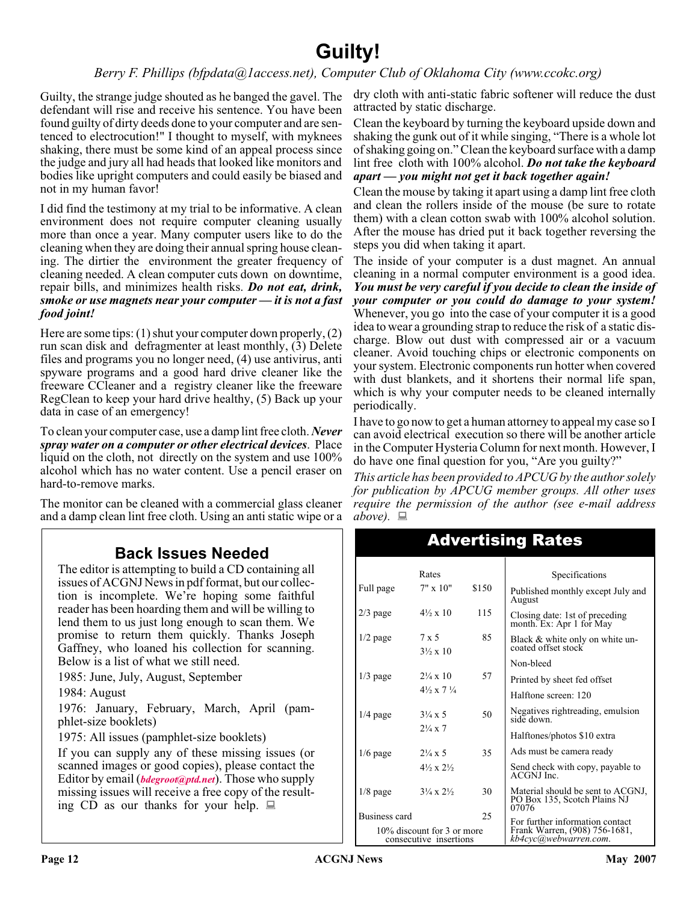# **Guilty!**

*Berry F. Phillips (bfpdata@1access.net), Computer Club of Oklahoma City (www.ccokc.org)*

Guilty, the strange judge shouted as he banged the gavel. The defendant will rise and receive his sentence. You have been found guilty of dirty deeds done to your computer and are sentenced to electrocution!" I thought to myself, with myknees shaking, there must be some kind of an appeal process since the judge and jury all had heads that looked like monitors and bodies like upright computers and could easily be biased and not in my human favor!

I did find the testimony at my trial to be informative. A clean environment does not require computer cleaning usually more than once a year. Many computer users like to do the cleaning when they are doing their annual spring house cleaning. The dirtier the environment the greater frequency of cleaning needed. A clean computer cuts down on downtime, repair bills, and minimizes health risks. *Do not eat, drink, smoke or use magnets near your computer — it is not a fast food joint!*

Here are some tips: (1) shut your computer down properly, (2) run scan disk and defragmenter at least monthly, (3) Delete files and programs you no longer need, (4) use antivirus, anti spyware programs and a good hard drive cleaner like the freeware CCleaner and a registry cleaner like the freeware RegClean to keep your hard drive healthy, (5) Back up your data in case of an emergency!

To clean your computer case, use a damp lint free cloth. *Never spray water on a computer or other electrical devices*. Place liquid on the cloth, not directly on the system and use 100% alcohol which has no water content. Use a pencil eraser on hard-to-remove marks.

The monitor can be cleaned with a commercial glass cleaner and a damp clean lint free cloth. Using an anti static wipe or a

### **Back Issues Needed**

The editor is attempting to build a CD containing all issues of ACGNJ News in pdf format, but our collection is incomplete. We're hoping some faithful reader has been hoarding them and will be willing to lend them to us just long enough to scan them. We promise to return them quickly. Thanks Joseph Gaffney, who loaned his collection for scanning. Below is a list of what we still need.

1985: June, July, August, September

1984: August

1976: January, February, March, April (pamphlet-size booklets)

1975: All issues (pamphlet-size booklets)

If you can supply any of these missing issues (or scanned images or good copies), please contact the Editor by email (*[bdegroot@ptd.net](mailto:bdegroot@ptd.net)*). Those who supply missing issues will receive a free copy of the resulting CD as our thanks for your help.  $\Box$ 

dry cloth with anti-static fabric softener will reduce the dust attracted by static discharge.

Clean the keyboard by turning the keyboard upside down and shaking the gunk out of it while singing, "There is a whole lot of shaking going on." Clean the keyboard surface with a damp lint free cloth with 100% alcohol. *Do not take the keyboard apart — you might not get it back together again!*

Clean the mouse by taking it apart using a damp lint free cloth and clean the rollers inside of the mouse (be sure to rotate them) with a clean cotton swab with 100% alcohol solution. After the mouse has dried put it back together reversing the steps you did when taking it apart.

The inside of your computer is a dust magnet. An annual cleaning in a normal computer environment is a good idea. *You must be very careful if you decide to clean the inside of your computer or you could do damage to your system!* Whenever, you go into the case of your computer it is a good idea to wear a grounding strap to reduce the risk of a static discharge. Blow out dust with compressed air or a vacuum cleaner. Avoid touching chips or electronic components on your system. Electronic components run hotter when covered with dust blankets, and it shortens their normal life span, which is why your computer needs to be cleaned internally periodically.

I have to go now to get a human attorney to appeal my case so I can avoid electrical execution so there will be another article in the Computer Hysteria Column for next month. However, I do have one final question for you, "Are you guilty?"

*This article has been provided to APCUG by the author solely for publication by APCUG member groups. All other uses require the permission of the author (see e-mail address*  $above. \equiv$ 

| Rates                                                |                                    |       | Specifications                                                             |
|------------------------------------------------------|------------------------------------|-------|----------------------------------------------------------------------------|
| Full page                                            | $7" \times 10"$                    | \$150 | Published monthly except July and<br>August                                |
| $2/3$ page                                           | $4\frac{1}{2} \times 10$           | 115   | Closing date: 1st of preceding<br>month. Ex: Apr 1 for May                 |
| $1/2$ page                                           | 7 x 5<br>$3\frac{1}{2} \times 10$  | 85    | Black & white only on white un-<br>coated offset stock                     |
|                                                      |                                    |       | Non-bleed                                                                  |
| $1/3$ page                                           | $2\frac{1}{4} \times 10$           | 57    | Printed by sheet fed offset                                                |
|                                                      | $4\frac{1}{2} \times 7\frac{1}{4}$ |       | Halftone screen: 120                                                       |
| $1/4$ page                                           | $3\frac{1}{4} \times 5$            | 50    | Negatives rightreading, emulsion<br>side down.                             |
|                                                      | $2\frac{1}{4} \times 7$            |       | Halftones/photos \$10 extra                                                |
| $1/6$ page                                           | $2\frac{1}{4} \times 5$            | 35    | Ads must be camera ready                                                   |
|                                                      | $4\frac{1}{2} \times 2\frac{1}{2}$ |       | Send check with copy, payable to<br>ACGNJ Inc.                             |
| $1/8$ page                                           | $3\frac{1}{4} \times 2\frac{1}{2}$ | 30    | Material should be sent to ACGNJ,<br>PO Box 135, Scotch Plains NJ<br>07076 |
| Business card                                        |                                    | 25    | For further information contact                                            |
| 10% discount for 3 or more<br>consecutive insertions |                                    |       | Frank Warren, (908) 756-1681,<br>kb4cyc(a)webwarren.com.                   |

### Advertising Rates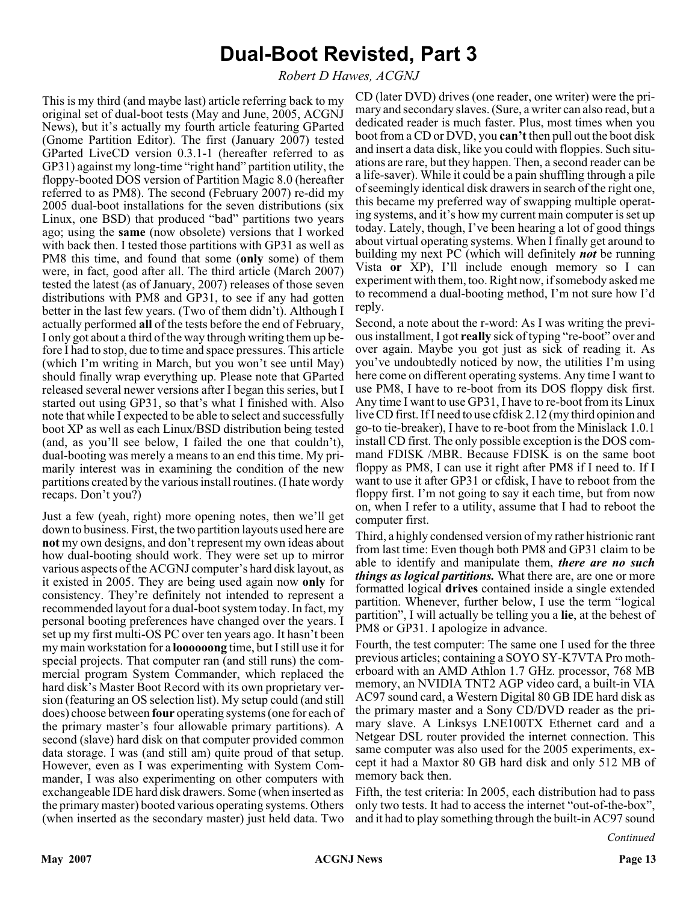# **Dual-Boot Revisted, Part 3**

*Robert D Hawes, ACGNJ*

This is my third (and maybe last) article referring back to my original set of dual-boot tests (May and June, 2005, ACGNJ News), but it's actually my fourth article featuring GParted (Gnome Partition Editor). The first (January 2007) tested GParted LiveCD version 0.3.1-1 (hereafter referred to as GP31) against my long-time "right hand" partition utility, the floppy-booted DOS version of Partition Magic 8.0 (hereafter referred to as PM8). The second (February 2007) re-did my 2005 dual-boot installations for the seven distributions (six Linux, one BSD) that produced "bad" partitions two years ago; using the **same** (now obsolete) versions that I worked with back then. I tested those partitions with GP31 as well as PM8 this time, and found that some (**only** some) of them were, in fact, good after all. The third article (March 2007) tested the latest (as of January, 2007) releases of those seven distributions with PM8 and GP31, to see if any had gotten better in the last few years. (Two of them didn't). Although I actually performed **all** of the tests before the end of February, I only got about a third of the way through writing them up before I had to stop, due to time and space pressures. This article (which I'm writing in March, but you won't see until May) should finally wrap everything up. Please note that GParted released several newer versions after I began this series, but I started out using GP31, so that's what I finished with. Also note that while I expected to be able to select and successfully boot XP as well as each Linux/BSD distribution being tested (and, as you'll see below, I failed the one that couldn't), dual-booting was merely a means to an end this time. My primarily interest was in examining the condition of the new partitions created by the various install routines. (I hate wordy recaps. Don't you?)

Just a few (yeah, right) more opening notes, then we'll get down to business. First, the two partition layouts used here are **not** my own designs, and don't represent my own ideas about how dual-booting should work. They were set up to mirror various aspects of the ACGNJ computer's hard disk layout, as it existed in 2005. They are being used again now **only** for consistency. They're definitely not intended to represent a recommended layout for a dual-boot system today. In fact, my personal booting preferences have changed over the years. I set up my first multi-OS PC over ten years ago. It hasn't been my main workstation for a **loooooong** time, but I still use it for special projects. That computer ran (and still runs) the commercial program System Commander, which replaced the hard disk's Master Boot Record with its own proprietary version (featuring an OS selection list). My setup could (and still does) choose between **four** operating systems (one for each of the primary master's four allowable primary partitions). A second (slave) hard disk on that computer provided common data storage. I was (and still am) quite proud of that setup. However, even as I was experimenting with System Commander, I was also experimenting on other computers with exchangeable IDE hard disk drawers. Some (when inserted as the primary master) booted various operating systems. Others (when inserted as the secondary master) just held data. Two

CD (later DVD) drives (one reader, one writer) were the primary and secondary slaves. (Sure, a writer can also read, but a dedicated reader is much faster. Plus, most times when you boot from a CD or DVD, you **can't** then pull out the boot disk and insert a data disk, like you could with floppies. Such situations are rare, but they happen. Then, a second reader can be a life-saver). While it could be a pain shuffling through a pile of seemingly identical disk drawers in search of the right one, this became my preferred way of swapping multiple operating systems, and it's how my current main computer is set up today. Lately, though, I've been hearing a lot of good things about virtual operating systems. When I finally get around to building my next PC (which will definitely *not* be running Vista **or** XP), I'll include enough memory so I can experiment with them, too. Right now, if somebody asked me to recommend a dual-booting method, I'm not sure how I'd reply.

Second, a note about the r-word: As I was writing the previous installment, I got **really** sick of typing "re-boot" over and over again. Maybe you got just as sick of reading it. As you've undoubtedly noticed by now, the utilities I'm using here come on different operating systems. Any time I want to use PM8, I have to re-boot from its DOS floppy disk first. Any time I want to use GP31, I have to re-boot from its Linux live CD first. If I need to use cfdisk 2.12 (my third opinion and go-to tie-breaker), I have to re-boot from the Minislack 1.0.1 install CD first. The only possible exception is the DOS command FDISK /MBR. Because FDISK is on the same boot floppy as PM8, I can use it right after PM8 if I need to. If I want to use it after GP31 or cfdisk, I have to reboot from the floppy first. I'm not going to say it each time, but from now on, when I refer to a utility, assume that I had to reboot the computer first.

Third, a highly condensed version of my rather histrionic rant from last time: Even though both PM8 and GP31 claim to be able to identify and manipulate them, *there are no such things as logical partitions.* What there are, are one or more formatted logical **drives** contained inside a single extended partition. Whenever, further below, I use the term "logical partition", I will actually be telling you a **lie**, at the behest of PM8 or GP31. I apologize in advance.

Fourth, the test computer: The same one I used for the three previous articles; containing a SOYO SY-K7VTA Pro motherboard with an AMD Athlon 1.7 GHz. processor, 768 MB memory, an NVIDIA TNT2 AGP video card, a built-in VIA AC97 sound card, a Western Digital 80 GB IDE hard disk as the primary master and a Sony CD/DVD reader as the primary slave. A Linksys LNE100TX Ethernet card and a Netgear DSL router provided the internet connection. This same computer was also used for the 2005 experiments, except it had a Maxtor 80 GB hard disk and only 512 MB of memory back then.

Fifth, the test criteria: In 2005, each distribution had to pass only two tests. It had to access the internet "out-of-the-box", and it had to play something through the built-in AC97 sound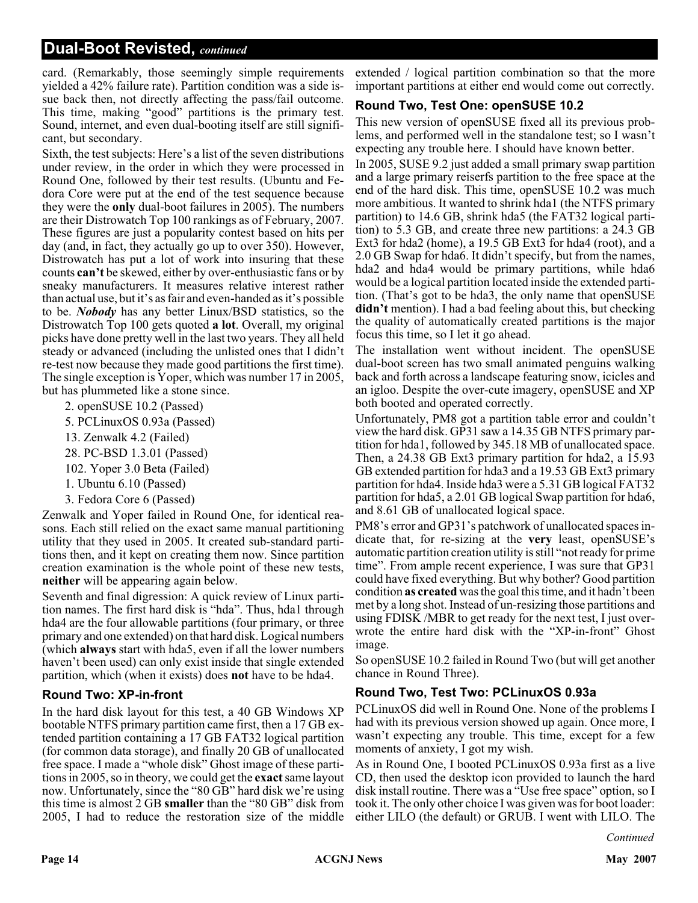card. (Remarkably, those seemingly simple requirements yielded a 42% failure rate). Partition condition was a side issue back then, not directly affecting the pass/fail outcome. This time, making "good" partitions is the primary test. Sound, internet, and even dual-booting itself are still significant, but secondary.

Sixth, the test subjects: Here's a list of the seven distributions under review, in the order in which they were processed in Round One, followed by their test results. (Ubuntu and Fedora Core were put at the end of the test sequence because they were the **only** dual-boot failures in 2005). The numbers are their Distrowatch Top 100 rankings as of February, 2007. These figures are just a popularity contest based on hits per day (and, in fact, they actually go up to over 350). However, Distrowatch has put a lot of work into insuring that these counts **can't** be skewed, either by over-enthusiastic fans or by sneaky manufacturers. It measures relative interest rather than actual use, but it's as fair and even-handed as it's possible to be. *Nobody* has any better Linux/BSD statistics, so the Distrowatch Top 100 gets quoted **a lot**. Overall, my original picks have done pretty well in the last two years. They all held steady or advanced (including the unlisted ones that I didn't re-test now because they made good partitions the first time). The single exception is Yoper, which was number 17 in 2005, but has plummeted like a stone since.

- 2. openSUSE 10.2 (Passed)
- 5. PCLinuxOS 0.93a (Passed)
- 13. Zenwalk 4.2 (Failed)
- 28. PC-BSD 1.3.01 (Passed)
- 102. Yoper 3.0 Beta (Failed)
- 1. Ubuntu 6.10 (Passed)
- 3. Fedora Core 6 (Passed)

Zenwalk and Yoper failed in Round One, for identical reasons. Each still relied on the exact same manual partitioning utility that they used in 2005. It created sub-standard partitions then, and it kept on creating them now. Since partition creation examination is the whole point of these new tests, **neither** will be appearing again below.

Seventh and final digression: A quick review of Linux partition names. The first hard disk is "hda". Thus, hda1 through hda4 are the four allowable partitions (four primary, or three primary and one extended) on that hard disk. Logical numbers (which **always** start with hda5, even if all the lower numbers haven't been used) can only exist inside that single extended partition, which (when it exists) does **not** have to be hda4.

#### **Round Two: XP-in-front**

In the hard disk layout for this test, a 40 GB Windows XP bootable NTFS primary partition came first, then a 17 GB extended partition containing a 17 GB FAT32 logical partition (for common data storage), and finally 20 GB of unallocated free space. I made a "whole disk" Ghost image of these partitions in 2005, so in theory, we could get the **exact**same layout now. Unfortunately, since the "80 GB" hard disk we're using this time is almost 2 GB **smaller** than the "80 GB" disk from 2005, I had to reduce the restoration size of the middle

extended / logical partition combination so that the more important partitions at either end would come out correctly.

#### **Round Two, Test One: openSUSE 10.2**

This new version of openSUSE fixed all its previous problems, and performed well in the standalone test; so I wasn't expecting any trouble here. I should have known better.

In 2005, SUSE 9.2 just added a small primary swap partition and a large primary reiserfs partition to the free space at the end of the hard disk. This time, openSUSE 10.2 was much more ambitious. It wanted to shrink hda1 (the NTFS primary partition) to 14.6 GB, shrink hda5 (the FAT32 logical partition) to 5.3 GB, and create three new partitions: a 24.3 GB Ext3 for hda2 (home), a 19.5 GB Ext3 for hda4 (root), and a 2.0 GB Swap for hda6. It didn't specify, but from the names, hda2 and hda4 would be primary partitions, while hda6 would be a logical partition located inside the extended partition. (That's got to be hda3, the only name that openSUSE **didn't** mention). I had a bad feeling about this, but checking the quality of automatically created partitions is the major focus this time, so I let it go ahead.

The installation went without incident. The openSUSE dual-boot screen has two small animated penguins walking back and forth across a landscape featuring snow, icicles and an igloo. Despite the over-cute imagery, openSUSE and XP both booted and operated correctly.

Unfortunately, PM8 got a partition table error and couldn't view the hard disk. GP31 saw a 14.35 GB NTFS primary partition for hda1, followed by 345.18 MB of unallocated space. Then, a 24.38 GB Ext3 primary partition for hda2, a 15.93 GB extended partition for hda3 and a 19.53 GB Ext3 primary partition for hda4. Inside hda3 were a 5.31 GB logical FAT32 partition for hda5, a 2.01 GB logical Swap partition for hda6, and 8.61 GB of unallocated logical space.

PM8's error and GP31's patchwork of unallocated spaces indicate that, for re-sizing at the **very** least, openSUSE's automatic partition creation utility is still "not ready for prime time". From ample recent experience, I was sure that GP31 could have fixed everything. But why bother? Good partition condition **as created** was the goal this time, and it hadn't been met by a long shot. Instead of un-resizing those partitions and using FDISK /MBR to get ready for the next test, I just overwrote the entire hard disk with the "XP-in-front" Ghost image.

So openSUSE 10.2 failed in Round Two (but will get another chance in Round Three).

#### **Round Two, Test Two: PCLinuxOS 0.93a**

PCLinuxOS did well in Round One. None of the problems I had with its previous version showed up again. Once more, I wasn't expecting any trouble. This time, except for a few moments of anxiety, I got my wish.

As in Round One, I booted PCLinuxOS 0.93a first as a live CD, then used the desktop icon provided to launch the hard disk install routine. There was a "Use free space" option, so I took it. The only other choice I was given was for boot loader: either LILO (the default) or GRUB. I went with LILO. The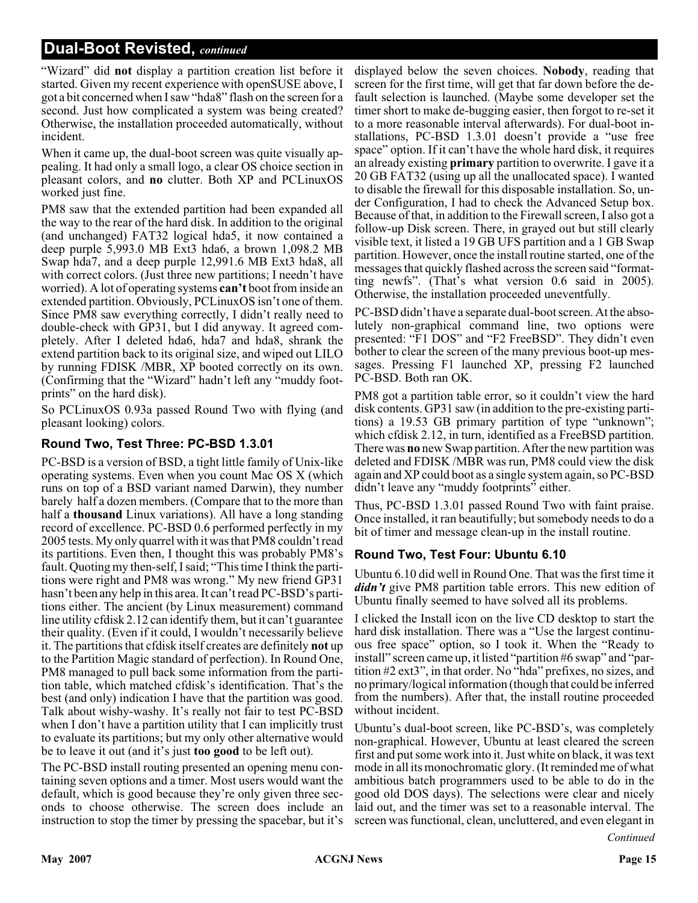"Wizard" did **not** display a partition creation list before it started. Given my recent experience with openSUSE above, I got a bit concerned when I saw "hda8" flash on the screen for a second. Just how complicated a system was being created? Otherwise, the installation proceeded automatically, without incident.

When it came up, the dual-boot screen was quite visually appealing. It had only a small logo, a clear OS choice section in pleasant colors, and **no** clutter. Both XP and PCLinuxOS worked just fine.

PM8 saw that the extended partition had been expanded all the way to the rear of the hard disk. In addition to the original (and unchanged) FAT32 logical hda5, it now contained a deep purple 5,993.0 MB Ext3 hda6, a brown 1,098.2 MB Swap hda7, and a deep purple 12,991.6 MB Ext3 hda8, all with correct colors. (Just three new partitions; I needn't have worried). A lot of operating systems **can't** boot from inside an extended partition. Obviously, PCLinuxOS isn't one of them. Since PM8 saw everything correctly, I didn't really need to double-check with GP31, but I did anyway. It agreed completely. After I deleted hda6, hda7 and hda8, shrank the extend partition back to its original size, and wiped out LILO by running FDISK /MBR, XP booted correctly on its own. (Confirming that the "Wizard" hadn't left any "muddy footprints" on the hard disk).

So PCLinuxOS 0.93a passed Round Two with flying (and pleasant looking) colors.

#### **Round Two, Test Three: PC-BSD 1.3.01**

PC-BSD is a version of BSD, a tight little family of Unix-like operating systems. Even when you count Mac OS X (which runs on top of a BSD variant named Darwin), they number barely half a dozen members. (Compare that to the more than half a **thousand** Linux variations). All have a long standing record of excellence. PC-BSD 0.6 performed perfectly in my 2005 tests. My only quarrel with it was that PM8 couldn't read its partitions. Even then, I thought this was probably PM8's fault. Quoting my then-self, I said; "This time I think the partitions were right and PM8 was wrong." My new friend GP31 hasn't been any help in this area. It can't read PC-BSD's partitions either. The ancient (by Linux measurement) command line utility cfdisk 2.12 can identify them, but it can't guarantee their quality. (Even if it could, I wouldn't necessarily believe it. The partitions that cfdisk itself creates are definitely **not** up to the Partition Magic standard of perfection). In Round One, PM8 managed to pull back some information from the partition table, which matched cfdisk's identification. That's the best (and only) indication I have that the partition was good. Talk about wishy-washy. It's really not fair to test PC-BSD when I don't have a partition utility that I can implicitly trust to evaluate its partitions; but my only other alternative would be to leave it out (and it's just **too good** to be left out).

The PC-BSD install routing presented an opening menu containing seven options and a timer. Most users would want the default, which is good because they're only given three seconds to choose otherwise. The screen does include an instruction to stop the timer by pressing the spacebar, but it's

displayed below the seven choices. **Nobody**, reading that screen for the first time, will get that far down before the default selection is launched. (Maybe some developer set the timer short to make de-bugging easier, then forgot to re-set it to a more reasonable interval afterwards). For dual-boot installations, PC-BSD 1.3.01 doesn't provide a "use free space" option. If it can't have the whole hard disk, it requires an already existing **primary** partition to overwrite. I gave it a 20 GB FAT32 (using up all the unallocated space). I wanted to disable the firewall for this disposable installation. So, under Configuration, I had to check the Advanced Setup box. Because of that, in addition to the Firewall screen, I also got a follow-up Disk screen. There, in grayed out but still clearly visible text, it listed a 19 GB UFS partition and a 1 GB Swap partition. However, once the install routine started, one of the messages that quickly flashed across the screen said "formatting newfs". (That's what version 0.6 said in 2005). Otherwise, the installation proceeded uneventfully.

PC-BSD didn't have a separate dual-boot screen. At the absolutely non-graphical command line, two options were presented: "F1 DOS" and "F2 FreeBSD". They didn't even bother to clear the screen of the many previous boot-up messages. Pressing F1 launched XP, pressing F2 launched PC-BSD. Both ran OK.

PM8 got a partition table error, so it couldn't view the hard disk contents. GP31 saw (in addition to the pre-existing partitions) a 19.53 GB primary partition of type "unknown"; which cfdisk 2.12, in turn, identified as a FreeBSD partition. There was **no** new Swap partition. After the new partition was deleted and FDISK /MBR was run, PM8 could view the disk again and XP could boot as a single system again, so PC-BSD didn't leave any "muddy footprints" either.

Thus, PC-BSD 1.3.01 passed Round Two with faint praise. Once installed, it ran beautifully; but somebody needs to do a bit of timer and message clean-up in the install routine.

#### **Round Two, Test Four: Ubuntu 6.10**

Ubuntu 6.10 did well in Round One. That was the first time it *didn't* give PM8 partition table errors. This new edition of Ubuntu finally seemed to have solved all its problems.

I clicked the Install icon on the live CD desktop to start the hard disk installation. There was a "Use the largest continuous free space" option, so I took it. When the "Ready to install" screen came up, it listed "partition #6 swap" and "partition #2 ext3", in that order. No "hda" prefixes, no sizes, and no primary/logical information (though that could be inferred from the numbers). After that, the install routine proceeded without incident.

Ubuntu's dual-boot screen, like PC-BSD's, was completely non-graphical. However, Ubuntu at least cleared the screen first and put some work into it. Just white on black, it was text mode in all its monochromatic glory. (It reminded me of what ambitious batch programmers used to be able to do in the good old DOS days). The selections were clear and nicely laid out, and the timer was set to a reasonable interval. The screen was functional, clean, uncluttered, and even elegant in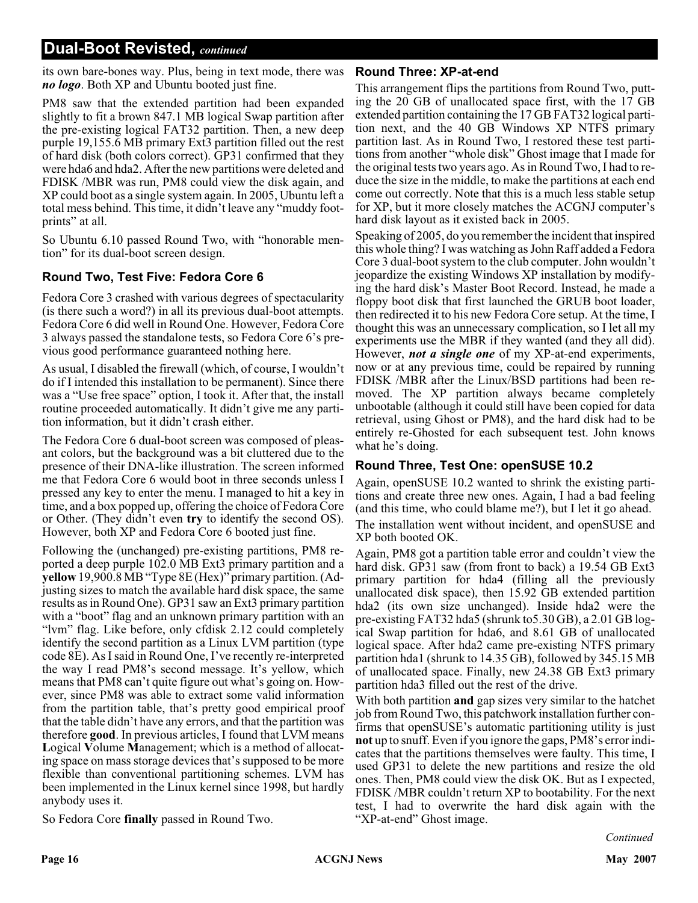its own bare-bones way. Plus, being in text mode, there was *no logo*. Both XP and Ubuntu booted just fine.

PM8 saw that the extended partition had been expanded slightly to fit a brown 847.1 MB logical Swap partition after the pre-existing logical FAT32 partition. Then, a new deep purple 19,155.6 MB primary Ext3 partition filled out the rest of hard disk (both colors correct). GP31 confirmed that they were hda6 and hda2. After the new partitions were deleted and FDISK /MBR was run, PM8 could view the disk again, and XP could boot as a single system again. In 2005, Ubuntu left a total mess behind. This time, it didn't leave any "muddy footprints" at all.

So Ubuntu 6.10 passed Round Two, with "honorable mention" for its dual-boot screen design.

#### **Round Two, Test Five: Fedora Core 6**

Fedora Core 3 crashed with various degrees of spectacularity (is there such a word?) in all its previous dual-boot attempts. Fedora Core 6 did well in Round One. However, Fedora Core 3 always passed the standalone tests, so Fedora Core 6's previous good performance guaranteed nothing here.

As usual, I disabled the firewall (which, of course, I wouldn't do if I intended this installation to be permanent). Since there was a "Use free space" option, I took it. After that, the install routine proceeded automatically. It didn't give me any partition information, but it didn't crash either.

The Fedora Core 6 dual-boot screen was composed of pleasant colors, but the background was a bit cluttered due to the presence of their DNA-like illustration. The screen informed me that Fedora Core 6 would boot in three seconds unless I pressed any key to enter the menu. I managed to hit a key in time, and a box popped up, offering the choice of Fedora Core or Other. (They didn't even **try** to identify the second OS). However, both XP and Fedora Core 6 booted just fine.

Following the (unchanged) pre-existing partitions, PM8 reported a deep purple 102.0 MB Ext3 primary partition and a **yellow** 19,900.8 MB "Type 8E (Hex)" primary partition. (Adjusting sizes to match the available hard disk space, the same results as in Round One). GP31 saw an Ext3 primary partition with a "boot" flag and an unknown primary partition with an "lvm" flag. Like before, only cfdisk 2.12 could completely identify the second partition as a Linux LVM partition (type code 8E). As I said in Round One, I've recently re-interpreted the way I read PM8's second message. It's yellow, which means that PM8 can't quite figure out what's going on. However, since PM8 was able to extract some valid information from the partition table, that's pretty good empirical proof that the table didn't have any errors, and that the partition was therefore **good**. In previous articles, I found that LVM means **L**ogical **V**olume **M**anagement; which is a method of allocating space on mass storage devices that's supposed to be more flexible than conventional partitioning schemes. LVM has been implemented in the Linux kernel since 1998, but hardly anybody uses it.

So Fedora Core **finally** passed in Round Two.

#### **Round Three: XP-at-end**

This arrangement flips the partitions from Round Two, putting the 20 GB of unallocated space first, with the 17 GB extended partition containing the 17 GB FAT32 logical partition next, and the 40 GB Windows XP NTFS primary partition last. As in Round Two, I restored these test partitions from another "whole disk" Ghost image that I made for the original tests two years ago. As in Round Two, I had to reduce the size in the middle, to make the partitions at each end come out correctly. Note that this is a much less stable setup for XP, but it more closely matches the ACGNJ computer's hard disk layout as it existed back in 2005.

Speaking of 2005, do you remember the incident that inspired this whole thing? I was watching as John Raff added a Fedora Core 3 dual-boot system to the club computer. John wouldn't jeopardize the existing Windows XP installation by modifying the hard disk's Master Boot Record. Instead, he made a floppy boot disk that first launched the GRUB boot loader, then redirected it to his new Fedora Core setup. At the time, I thought this was an unnecessary complication, so I let all my experiments use the MBR if they wanted (and they all did). However, *not a single one* of my XP-at-end experiments, now or at any previous time, could be repaired by running FDISK /MBR after the Linux/BSD partitions had been removed. The XP partition always became completely unbootable (although it could still have been copied for data retrieval, using Ghost or PM8), and the hard disk had to be entirely re-Ghosted for each subsequent test. John knows what he's doing.

#### **Round Three, Test One: openSUSE 10.2**

Again, openSUSE 10.2 wanted to shrink the existing partitions and create three new ones. Again, I had a bad feeling (and this time, who could blame me?), but I let it go ahead. The installation went without incident, and openSUSE and XP both booted OK.

Again, PM8 got a partition table error and couldn't view the hard disk. GP31 saw (from front to back) a 19.54 GB Ext3 primary partition for hda4 (filling all the previously unallocated disk space), then 15.92 GB extended partition hda2 (its own size unchanged). Inside hda2 were the pre-existing FAT32 hda5 (shrunk to5.30 GB), a 2.01 GB logical Swap partition for hda6, and 8.61 GB of unallocated logical space. After hda2 came pre-existing NTFS primary partition hda1 (shrunk to 14.35 GB), followed by 345.15 MB of unallocated space. Finally, new 24.38 GB Ext3 primary partition hda3 filled out the rest of the drive.

With both partition **and** gap sizes very similar to the hatchet job from Round Two, this patchwork installation further confirms that openSUSE's automatic partitioning utility is just **not** up to snuff. Even if you ignore the gaps, PM8's error indicates that the partitions themselves were faulty. This time, I used GP31 to delete the new partitions and resize the old ones. Then, PM8 could view the disk OK. But as I expected, FDISK /MBR couldn't return XP to bootability. For the next test, I had to overwrite the hard disk again with the "XP-at-end" Ghost image.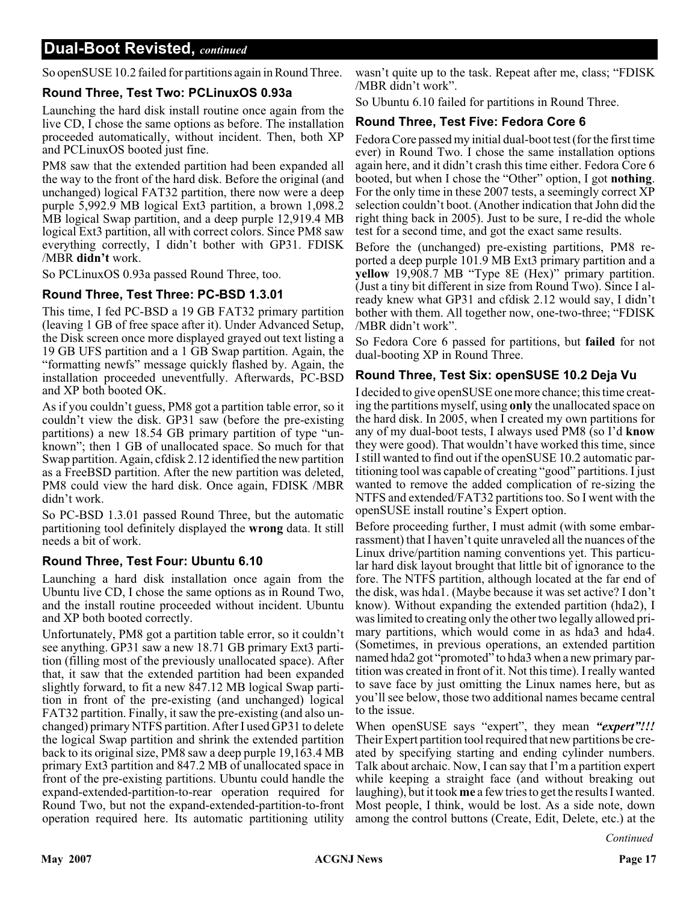So openSUSE 10.2 failed for partitions again in Round Three.

#### **Round Three, Test Two: PCLinuxOS 0.93a**

Launching the hard disk install routine once again from the live CD, I chose the same options as before. The installation proceeded automatically, without incident. Then, both XP and PCLinuxOS booted just fine.

PM8 saw that the extended partition had been expanded all the way to the front of the hard disk. Before the original (and unchanged) logical FAT32 partition, there now were a deep purple 5,992.9 MB logical Ext3 partition, a brown 1,098.2 MB logical Swap partition, and a deep purple 12,919.4 MB logical Ext3 partition, all with correct colors. Since PM8 saw everything correctly, I didn't bother with GP31. FDISK /MBR **didn't** work.

So PCLinuxOS 0.93a passed Round Three, too.

#### **Round Three, Test Three: PC-BSD 1.3.01**

This time, I fed PC-BSD a 19 GB FAT32 primary partition (leaving 1 GB of free space after it). Under Advanced Setup, the Disk screen once more displayed grayed out text listing a 19 GB UFS partition and a 1 GB Swap partition. Again, the "formatting newfs" message quickly flashed by. Again, the installation proceeded uneventfully. Afterwards, PC-BSD and XP both booted OK.

As if you couldn't guess, PM8 got a partition table error, so it couldn't view the disk. GP31 saw (before the pre-existing partitions) a new 18.54 GB primary partition of type "unknown"; then 1 GB of unallocated space. So much for that Swap partition. Again, cfdisk 2.12 identified the new partition as a FreeBSD partition. After the new partition was deleted, PM8 could view the hard disk. Once again, FDISK /MBR didn't work.

So PC-BSD 1.3.01 passed Round Three, but the automatic partitioning tool definitely displayed the **wrong** data. It still needs a bit of work.

#### **Round Three, Test Four: Ubuntu 6.10**

Launching a hard disk installation once again from the Ubuntu live CD, I chose the same options as in Round Two, and the install routine proceeded without incident. Ubuntu and XP both booted correctly.

Unfortunately, PM8 got a partition table error, so it couldn't see anything. GP31 saw a new 18.71 GB primary Ext3 partition (filling most of the previously unallocated space). After that, it saw that the extended partition had been expanded slightly forward, to fit a new 847.12 MB logical Swap partition in front of the pre-existing (and unchanged) logical FAT32 partition. Finally, it saw the pre-existing (and also unchanged) primary NTFS partition. After I used GP31 to delete the logical Swap partition and shrink the extended partition back to its original size, PM8 saw a deep purple 19,163.4 MB primary Ext3 partition and 847.2 MB of unallocated space in front of the pre-existing partitions. Ubuntu could handle the expand-extended-partition-to-rear operation required for Round Two, but not the expand-extended-partition-to-front operation required here. Its automatic partitioning utility

wasn't quite up to the task. Repeat after me, class; "FDISK /MBR didn't work".

So Ubuntu 6.10 failed for partitions in Round Three.

#### **Round Three, Test Five: Fedora Core 6**

Fedora Core passed my initial dual-boot test (for the first time ever) in Round Two. I chose the same installation options again here, and it didn't crash this time either. Fedora Core 6 booted, but when I chose the "Other" option, I got **nothing**. For the only time in these 2007 tests, a seemingly correct XP selection couldn't boot. (Another indication that John did the right thing back in 2005). Just to be sure, I re-did the whole test for a second time, and got the exact same results.

Before the (unchanged) pre-existing partitions, PM8 reported a deep purple 101.9 MB Ext3 primary partition and a **yellow** 19,908.7 MB "Type 8E (Hex)" primary partition. (Just a tiny bit different in size from Round Two). Since I already knew what GP31 and cfdisk 2.12 would say, I didn't bother with them. All together now, one-two-three; "FDISK /MBR didn't work".

So Fedora Core 6 passed for partitions, but **failed** for not dual-booting XP in Round Three.

#### **Round Three, Test Six: openSUSE 10.2 Deja Vu**

I decided to give openSUSE one more chance; this time creating the partitions myself, using **only** the unallocated space on the hard disk. In 2005, when I created my own partitions for any of my dual-boot tests, I always used PM8 (so I'd **know** they were good). That wouldn't have worked this time, since I still wanted to find out if the openSUSE 10.2 automatic partitioning tool was capable of creating "good" partitions. I just wanted to remove the added complication of re-sizing the NTFS and extended/FAT32 partitions too. So I went with the openSUSE install routine's Expert option.

Before proceeding further, I must admit (with some embarrassment) that I haven't quite unraveled all the nuances of the Linux drive/partition naming conventions yet. This particular hard disk layout brought that little bit of ignorance to the fore. The NTFS partition, although located at the far end of the disk, was hda1. (Maybe because it was set active? I don't know). Without expanding the extended partition (hda2), I was limited to creating only the other two legally allowed primary partitions, which would come in as hda3 and hda4. (Sometimes, in previous operations, an extended partition named hda2 got "promoted" to hda3 when a new primary partition was created in front of it. Not this time). I really wanted to save face by just omitting the Linux names here, but as you'll see below, those two additional names became central to the issue.

When openSUSE says "expert", they mean *"expert"!!!* Their Expert partition tool required that new partitions be created by specifying starting and ending cylinder numbers. Talk about archaic. Now, I can say that I'm a partition expert while keeping a straight face (and without breaking out laughing), but it took **me** a few tries to get the results I wanted. Most people, I think, would be lost. As a side note, down among the control buttons (Create, Edit, Delete, etc.) at the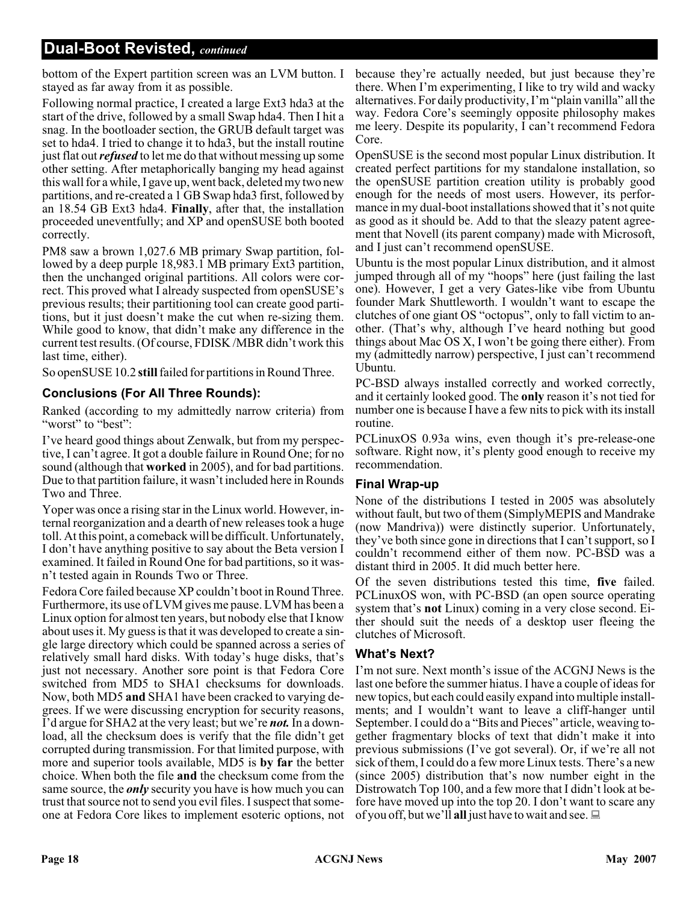bottom of the Expert partition screen was an LVM button. I stayed as far away from it as possible.

Following normal practice, I created a large Ext3 hda3 at the start of the drive, followed by a small Swap hda4. Then I hit a snag. In the bootloader section, the GRUB default target was set to hda4. I tried to change it to hda3, but the install routine just flat out*refused* to let me do that without messing up some other setting. After metaphorically banging my head against this wall for a while, I gave up, went back, deleted my two new partitions, and re-created a 1 GB Swap hda3 first, followed by an 18.54 GB Ext3 hda4. **Finally**, after that, the installation proceeded uneventfully; and XP and openSUSE both booted correctly.

PM8 saw a brown 1,027.6 MB primary Swap partition, followed by a deep purple 18,983.1 MB primary Ext3 partition, then the unchanged original partitions. All colors were correct. This proved what I already suspected from openSUSE's previous results; their partitioning tool can create good partitions, but it just doesn't make the cut when re-sizing them. While good to know, that didn't make any difference in the current test results. (Of course, FDISK /MBR didn't work this last time, either).

So openSUSE 10.2 **still**failed for partitions in Round Three.

#### **Conclusions (For All Three Rounds):**

Ranked (according to my admittedly narrow criteria) from "worst" to "best":

I've heard good things about Zenwalk, but from my perspective, I can't agree. It got a double failure in Round One; for no sound (although that **worked** in 2005), and for bad partitions. Due to that partition failure, it wasn't included here in Rounds Two and Three.

Yoper was once a rising star in the Linux world. However, internal reorganization and a dearth of new releases took a huge toll. At this point, a comeback will be difficult. Unfortunately, I don't have anything positive to say about the Beta version I examined. It failed in Round One for bad partitions, so it wasn't tested again in Rounds Two or Three.

Fedora Core failed because XP couldn't boot in Round Three. Furthermore, its use of LVM gives me pause. LVM has been a Linux option for almost ten years, but nobody else that I know about uses it. My guess is that it was developed to create a single large directory which could be spanned across a series of relatively small hard disks. With today's huge disks, that's just not necessary. Another sore point is that Fedora Core switched from MD5 to SHA1 checksums for downloads. Now, both MD5 **and** SHA1 have been cracked to varying degrees. If we were discussing encryption for security reasons, I'd argue for SHA2 at the very least; but we're *not.* In a download, all the checksum does is verify that the file didn't get corrupted during transmission. For that limited purpose, with more and superior tools available, MD5 is **by far** the better choice. When both the file **and** the checksum come from the same source, the *only* security you have is how much you can trust that source not to send you evil files. I suspect that someone at Fedora Core likes to implement esoteric options, not

because they're actually needed, but just because they're there. When I'm experimenting, I like to try wild and wacky alternatives. For daily productivity, I'm "plain vanilla" all the way. Fedora Core's seemingly opposite philosophy makes me leery. Despite its popularity, I can't recommend Fedora Core.

OpenSUSE is the second most popular Linux distribution. It created perfect partitions for my standalone installation, so the openSUSE partition creation utility is probably good enough for the needs of most users. However, its performance in my dual-boot installations showed that it's not quite as good as it should be. Add to that the sleazy patent agreement that Novell (its parent company) made with Microsoft, and I just can't recommend openSUSE.

Ubuntu is the most popular Linux distribution, and it almost jumped through all of my "hoops" here (just failing the last one). However, I get a very Gates-like vibe from Ubuntu founder Mark Shuttleworth. I wouldn't want to escape the clutches of one giant OS "octopus", only to fall victim to another. (That's why, although I've heard nothing but good things about Mac OS X, I won't be going there either). From my (admittedly narrow) perspective, I just can't recommend Ubuntu.

PC-BSD always installed correctly and worked correctly, and it certainly looked good. The **only** reason it's not tied for number one is because I have a few nits to pick with its install routine.

PCLinuxOS 0.93a wins, even though it's pre-release-one software. Right now, it's plenty good enough to receive my recommendation.

#### **Final Wrap-up**

None of the distributions I tested in 2005 was absolutely without fault, but two of them (SimplyMEPIS and Mandrake (now Mandriva)) were distinctly superior. Unfortunately, they've both since gone in directions that I can't support, so I couldn't recommend either of them now. PC-BSD was a distant third in 2005. It did much better here.

Of the seven distributions tested this time, **five** failed. PCLinuxOS won, with PC-BSD (an open source operating system that's **not** Linux) coming in a very close second. Either should suit the needs of a desktop user fleeing the clutches of Microsoft.

#### **What's Next?**

I'm not sure. Next month's issue of the ACGNJ News is the last one before the summer hiatus. I have a couple of ideas for new topics, but each could easily expand into multiple installments; and I wouldn't want to leave a cliff-hanger until September. I could do a "Bits and Pieces" article, weaving together fragmentary blocks of text that didn't make it into previous submissions (I've got several). Or, if we're all not sick of them, I could do a few more Linux tests. There's a new (since 2005) distribution that's now number eight in the Distrowatch Top 100, and a few more that I didn't look at before have moved up into the top 20. I don't want to scare any of you off, but we'll **all** just have to wait and see.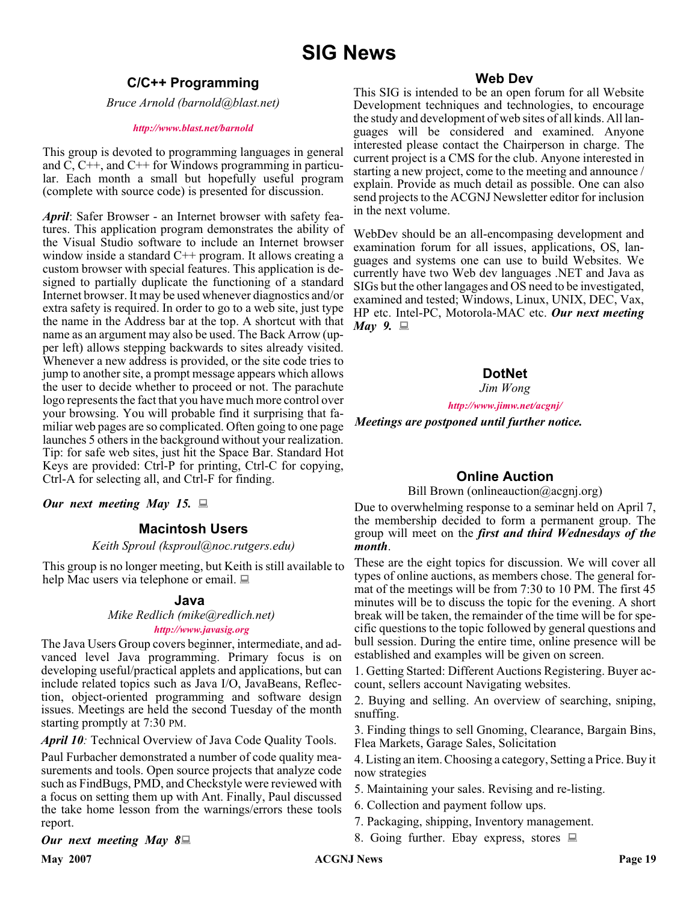# **SIG News**

### **C/C++ Programming**

*Bruce Arnold (barnold@blast.net)*

#### *<http://www.blast.net/barnold>*

This group is devoted to programming languages in general and C, C++, and C++ for Windows programming in particular. Each month a small but hopefully useful program (complete with source code) is presented for discussion.

*April*: Safer Browser - an Internet browser with safety features. This application program demonstrates the ability of the Visual Studio software to include an Internet browser window inside a standard C<sup>++</sup> program. It allows creating a custom browser with special features. This application is designed to partially duplicate the functioning of a standard Internet browser. It may be used whenever diagnostics and/or extra safety is required. In order to go to a web site, just type the name in the Address bar at the top. A shortcut with that name as an argument may also be used. The Back Arrow (upper left) allows stepping backwards to sites already visited. Whenever a new address is provided, or the site code tries to jump to another site, a prompt message appears which allows the user to decide whether to proceed or not. The parachute logo represents the fact that you have much more control over your browsing. You will probable find it surprising that familiar web pages are so complicated. Often going to one page launches 5 others in the background without your realization. Tip: for safe web sites, just hit the Space Bar. Standard Hot Keys are provided: Ctrl-P for printing, Ctrl-C for copying, Ctrl-A for selecting all, and Ctrl-F for finding.

*Our next meeting May 15.*

#### **Macintosh Users**

#### *Keith Sproul (ksproul@noc.rutgers.edu)*

This group is no longer meeting, but Keith is still available to help Mac users via telephone or email.

#### **Java**

*Mike Redlich (mike@redlich.net) <http://www.javasig.org>*

The Java Users Group covers beginner, intermediate, and advanced level Java programming. Primary focus is on developing useful/practical applets and applications, but can include related topics such as Java I/O, JavaBeans, Reflection, object-oriented programming and software design issues. Meetings are held the second Tuesday of the month starting promptly at 7:30 PM.

*April 10:* Technical Overview of Java Code Quality Tools.

Paul Furbacher demonstrated a number of code quality measurements and tools. Open source projects that analyze code such as FindBugs, PMD, and Checkstyle were reviewed with a focus on setting them up with Ant. Finally, Paul discussed the take home lesson from the warnings/errors these tools report.

#### *Our next meeting May 8*

#### **Web Dev**

This SIG is intended to be an open forum for all Website Development techniques and technologies, to encourage the study and development of web sites of all kinds. All languages will be considered and examined. Anyone interested please contact the Chairperson in charge. The current project is a CMS for the club. Anyone interested in starting a new project, come to the meeting and announce / explain. Provide as much detail as possible. One can also send projects to the ACGNJ Newsletter editor for inclusion in the next volume.

WebDev should be an all-encompasing development and examination forum for all issues, applications, OS, languages and systems one can use to build Websites. We currently have two Web dev languages .NET and Java as SIGs but the other langages and OS need to be investigated, examined and tested; Windows, Linux, UNIX, DEC, Vax, HP etc. Intel-PC, Motorola-MAC etc. *Our next meeting May 9.*

### **DotNet**

*Jim Wong*

*<http://www.jimw.net/acgnj/>*

*Meetings are postponed until further notice.*

#### **Online Auction**

Bill Brown (onlineauction@acgnj.org)

Due to overwhelming response to a seminar held on April 7, the membership decided to form a permanent group. The group will meet on the *first and third Wednesdays of the month*.

These are the eight topics for discussion. We will cover all types of online auctions, as members chose. The general format of the meetings will be from 7:30 to 10 PM. The first 45 minutes will be to discuss the topic for the evening. A short break will be taken, the remainder of the time will be for specific questions to the topic followed by general questions and bull session. During the entire time, online presence will be established and examples will be given on screen.

1. Getting Started: Different Auctions Registering. Buyer account, sellers account Navigating websites.

2. Buying and selling. An overview of searching, sniping, snuffing.

3. Finding things to sell Gnoming, Clearance, Bargain Bins, Flea Markets, Garage Sales, Solicitation

4. Listing an item. Choosing a category, Setting a Price. Buy it now strategies

- 5. Maintaining your sales. Revising and re-listing.
- 6. Collection and payment follow ups.
- 7. Packaging, shipping, Inventory management.
- 8. Going further. Ebay express, stores  $\Box$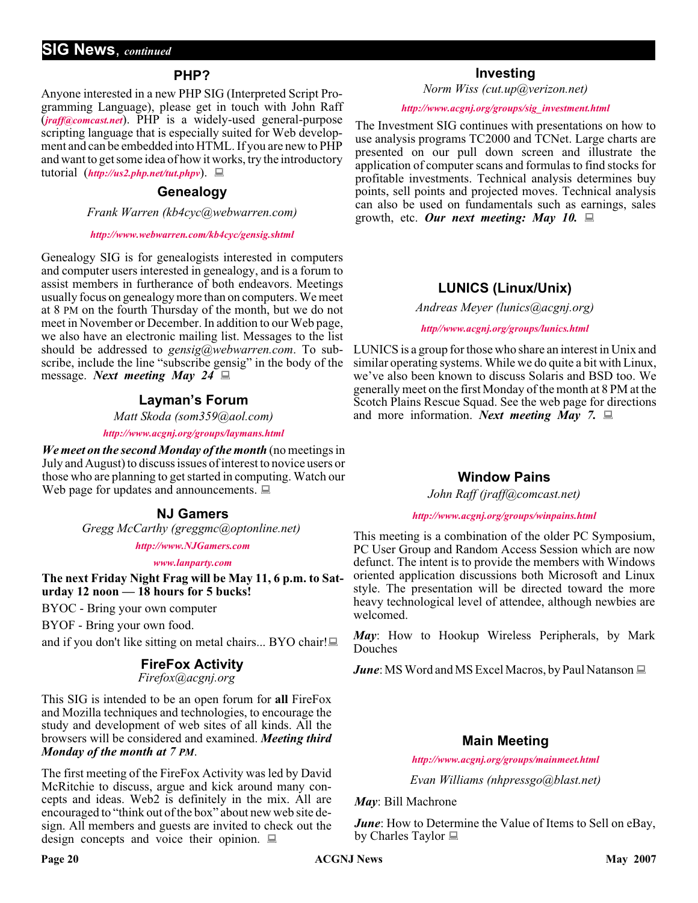#### **PHP?**

Anyone interested in a new PHP SIG (Interpreted Script Programming Language), please get in touch with John Raff (*[jraff@comcast.net](mailto:jraff@comcast.net)*). PHP is a widely-used general-purpose scripting language that is especially suited for Web development and can be embedded into HTML. If you are new to PHP and want to get some idea of how it works, try the introductory tutorial (*<http://us2.php.net/tut.phpv>*).

#### **Genealogy**

*Frank Warren (kb4cyc@webwarren.com)*

#### *<http://www.webwarren.com/kb4cyc/gensig.shtml>*

Genealogy SIG is for genealogists interested in computers and computer users interested in genealogy, and is a forum to assist members in furtherance of both endeavors. Meetings usually focus on genealogy more than on computers. We meet at 8 PM on the fourth Thursday of the month, but we do not meet in November or December. In addition to our Web page, we also have an electronic mailing list. Messages to the list should be addressed to *gensig@webwarren.com*. To subscribe, include the line "subscribe gensig" in the body of the message. *Next meeting May 24*

#### **Layman's Forum**

*Matt Skoda (som359@aol.com)*

*<http://www.acgnj.org/groups/laymans.html>*

*We meet on the second Monday of the month* (no meetings in July and August) to discuss issues of interest to novice users or those who are planning to get started in computing. Watch our Web page for updates and announcements.  $\Box$ 

#### **NJ Gamers**

*Gregg McCarthy (greggmc@optonline.net)*

*<http://www.NJGamers.com>*

*[www.lanparty.com](http://www.lanparty.com)*

**The next Friday Night Frag will be May 11, 6 p.m. to Saturday 12 noon — 18 hours for 5 bucks!**

BYOC - Bring your own computer

BYOF - Bring your own food.

and if you don't like sitting on metal chairs... BYO chair!

#### **FireFox Activity**

*Firefox@acgnj.org*

This SIG is intended to be an open forum for **all** FireFox and Mozilla techniques and technologies, to encourage the study and development of web sites of all kinds. All the browsers will be considered and examined. *Meeting third Monday of the month at 7 PM*.

The first meeting of the FireFox Activity was led by David McRitchie to discuss, argue and kick around many concepts and ideas. Web2 is definitely in the mix. All are encouraged to "think out of the box" about new web site design. All members and guests are invited to check out the design concepts and voice their opinion.  $\Box$ 

#### **Investing**

*Norm Wiss (cut.up@verizon.net)*

#### *[http://www.acgnj.org/groups/sig\\_investment.html](http://www.acgnj.org/groups/sig_investment.html)*

The Investment SIG continues with presentations on how to use analysis programs TC2000 and TCNet. Large charts are presented on our pull down screen and illustrate the application of computer scans and formulas to find stocks for profitable investments. Technical analysis determines buy points, sell points and projected moves. Technical analysis can also be used on fundamentals such as earnings, sales growth, etc. *Our next meeting: May 10.*

#### **LUNICS (Linux/Unix)**

*Andreas Meyer (lunics@acgnj.org)*

*<http//www.acgnj.org/groups/lunics.html>*

LUNICS is a group for those who share an interest in Unix and similar operating systems. While we do quite a bit with Linux, we've also been known to discuss Solaris and BSD too. We generally meet on the first Monday of the month at 8 PM at the Scotch Plains Rescue Squad. See the web page for directions and more information. *Next meeting May 7.*

#### **Window Pains**

*John Raff (jraff@comcast.net)*

#### *<http://www.acgnj.org/groups/winpains.html>*

This meeting is a combination of the older PC Symposium, PC User Group and Random Access Session which are now defunct. The intent is to provide the members with Windows oriented application discussions both Microsoft and Linux style. The presentation will be directed toward the more heavy technological level of attendee, although newbies are welcomed.

*May*: How to Hookup Wireless Peripherals, by Mark Douches

*June*: MS Word and MS Excel Macros, by Paul Natanson  $\Box$ 

#### **Main Meeting**

*<http://www.acgnj.org/groups/mainmeet.html>*

*Evan Williams (nhpressgo@blast.net)*

#### *May*: Bill Machrone

*June*: How to Determine the Value of Items to Sell on eBay, by Charles Taylor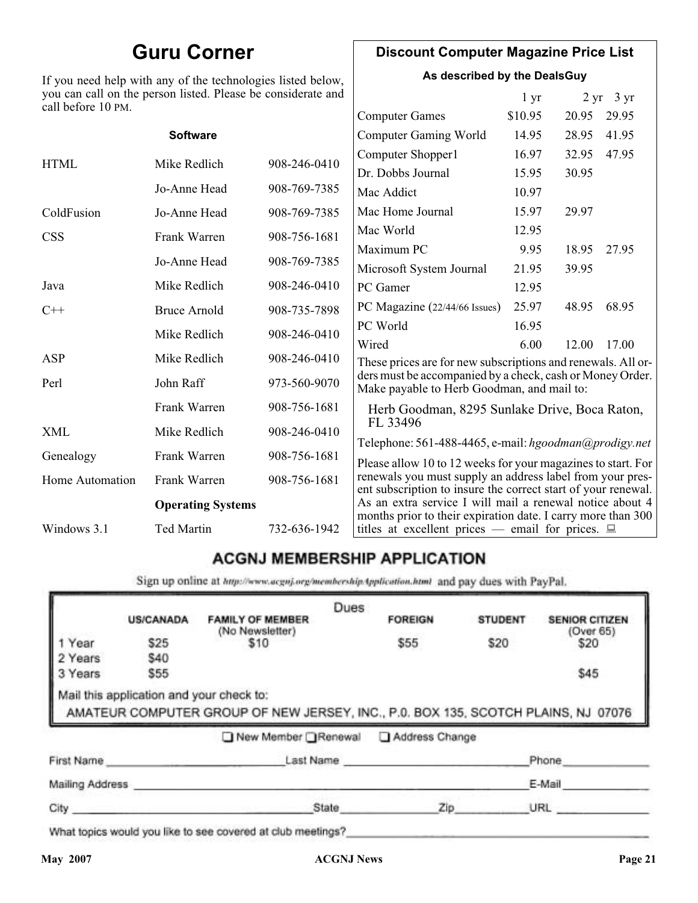# **Guru Corner**

If you need help with any of the technologies listed below, you can call on the person listed. Please be considerate and call before 10 PM.

### **Discount Computer Magazine Price List**

**As described by the DealsGuy**

 $1 \text{ yr}$   $2 \text{ yr}$   $3 \text{ yr}$ 

| call before 10 PM.     |                          |              |                                                                                                                            |         |       |       |
|------------------------|--------------------------|--------------|----------------------------------------------------------------------------------------------------------------------------|---------|-------|-------|
|                        |                          |              | <b>Computer Games</b>                                                                                                      | \$10.95 | 20.95 | 29.95 |
|                        | <b>Software</b>          |              | <b>Computer Gaming World</b>                                                                                               | 14.95   | 28.95 | 41.95 |
| <b>HTML</b>            | Mike Redlich             | 908-246-0410 | Computer Shopper1                                                                                                          | 16.97   | 32.95 | 47.95 |
|                        |                          |              | Dr. Dobbs Journal                                                                                                          | 15.95   | 30.95 |       |
|                        | Jo-Anne Head             | 908-769-7385 | Mac Addict                                                                                                                 | 10.97   |       |       |
| ColdFusion             | Jo-Anne Head             | 908-769-7385 | Mac Home Journal                                                                                                           | 15.97   | 29.97 |       |
| <b>CSS</b>             | Frank Warren             | 908-756-1681 | Mac World                                                                                                                  | 12.95   |       |       |
|                        |                          |              | Maximum PC                                                                                                                 | 9.95    | 18.95 | 27.95 |
|                        | Jo-Anne Head             | 908-769-7385 | Microsoft System Journal                                                                                                   | 21.95   | 39.95 |       |
| Java                   | Mike Redlich             | 908-246-0410 | PC Gamer                                                                                                                   | 12.95   |       |       |
| $C++$                  | <b>Bruce Arnold</b>      | 908-735-7898 | PC Magazine (22/44/66 Issues)                                                                                              | 25.97   | 48.95 | 68.95 |
|                        | Mike Redlich             | 908-246-0410 | PC World                                                                                                                   | 16.95   |       |       |
|                        |                          |              | Wired                                                                                                                      | 6.00    | 12.00 | 17.00 |
| ASP                    | Mike Redlich             | 908-246-0410 | These prices are for new subscriptions and renewals. All or-                                                               |         |       |       |
| Perl                   | John Raff                | 973-560-9070 | ders must be accompanied by a check, cash or Money Order.<br>Make payable to Herb Goodman, and mail to:                    |         |       |       |
|                        | Frank Warren             | 908-756-1681 | Herb Goodman, 8295 Sunlake Drive, Boca Raton,                                                                              |         |       |       |
| XML                    | Mike Redlich             | 908-246-0410 | FL 33496                                                                                                                   |         |       |       |
| Genealogy              | Frank Warren             | 908-756-1681 | Telephone: 561-488-4465, e-mail: hgoodman@prodigy.net<br>Please allow 10 to 12 weeks for your magazines to start. For      |         |       |       |
| <b>Home Automation</b> | Frank Warren             | 908-756-1681 | renewals you must supply an address label from your pres-<br>ent subscription to insure the correct start of your renewal. |         |       |       |
|                        | <b>Operating Systems</b> |              | As an extra service I will mail a renewal notice about 4<br>months prior to their expiration date. I carry more than 300   |         |       |       |
| Windows 3.1            | Ted Martin               | 732-636-1942 | titles at excellent prices — email for prices. $\Box$                                                                      |         |       |       |
|                        |                          |              |                                                                                                                            |         |       |       |

### **ACGNJ MEMBERSHIP APPLICATION**

Sign up online at http://www.acguj.org/membershipApplication.html and pay dues with PayPal.

|                 |                                          |                                                                                   | Dues |                |                |                       |
|-----------------|------------------------------------------|-----------------------------------------------------------------------------------|------|----------------|----------------|-----------------------|
|                 | <b>US/CANADA</b>                         | <b>FAMILY OF MEMBER</b>                                                           |      | <b>FOREIGN</b> | <b>STUDENT</b> | <b>SENIOR CITIZEN</b> |
| 1 Year          | \$25                                     | (No Newsletter)<br>\$10                                                           |      | \$55           | \$20           | (Over 65)<br>\$20     |
| 2 Years         | \$40                                     |                                                                                   |      |                |                |                       |
| 3 Years         | \$55                                     |                                                                                   |      |                |                | \$45                  |
|                 | Mail this application and your check to: | AMATEUR COMPUTER GROUP OF NEW JERSEY, INC., P.0. BOX 135, SCOTCH PLAINS, NJ 07076 |      |                |                |                       |
|                 |                                          | New Member Renewal                                                                |      | Address Change |                |                       |
| First Name      |                                          |                                                                                   |      | Last Name      |                | Phone                 |
| Mailing Address |                                          |                                                                                   |      |                |                | E-Mail                |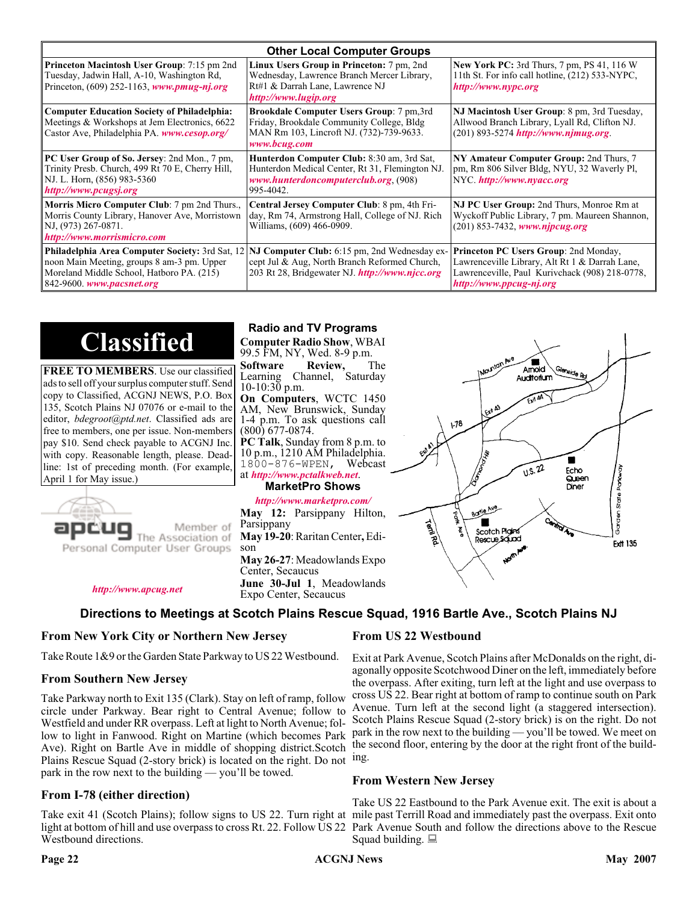| <b>Other Local Computer Groups</b>                                                                                                                                             |                                                                                                                                                           |                                                                                                                                                                      |  |  |  |
|--------------------------------------------------------------------------------------------------------------------------------------------------------------------------------|-----------------------------------------------------------------------------------------------------------------------------------------------------------|----------------------------------------------------------------------------------------------------------------------------------------------------------------------|--|--|--|
| <b>Princeton Macintosh User Group:</b> 7:15 pm 2nd<br>Tuesday, Jadwin Hall, A-10, Washington Rd,<br>Princeton, $(609)$ 252-1163, www.pmug-nj.org                               | Linux Users Group in Princeton: 7 pm, 2nd<br>Wednesday, Lawrence Branch Mercer Library,<br>Rt#1 & Darrah Lane, Lawrence NJ<br>http://www.lugip.org        | <b>New York PC:</b> 3rd Thurs, 7 pm, PS 41, 116 W<br>11th St. For info call hotline, (212) 533-NYPC,<br>http://www.nypc.org                                          |  |  |  |
| <b>Computer Education Society of Philadelphia:</b><br>Meetings & Workshops at Jem Electronics, 6622<br>Castor Ave, Philadelphia PA. www.cesop.org/                             | <b>Brookdale Computer Users Group:</b> 7 pm, 3rd<br>Friday, Brookdale Community College, Bldg<br>MAN Rm 103, Lincroft NJ. (732)-739-9633.<br>www.bcug.com | NJ Macintosh User Group: 8 pm, 3rd Tuesday,<br>Allwood Branch Library, Lyall Rd, Clifton NJ.<br>$(201) 893 - 5274$ http://www.njmug.org                              |  |  |  |
| PC User Group of So. Jersey: 2nd Mon., 7 pm,<br>Trinity Presb. Church, 499 Rt 70 E, Cherry Hill,<br>NJ. L. Horn, (856) 983-5360<br>http://www.pcugsj.org                       | Hunterdon Computer Club: 8:30 am, 3rd Sat,<br>Hunterdon Medical Center, Rt 31, Flemington NJ.<br>www.hunterdoncomputerclub.org. (908)<br>995-4042.        | NY Amateur Computer Group: 2nd Thurs, 7<br>pm, Rm 806 Silver Bldg, NYU, 32 Waverly Pl,<br>NYC http://www.nyacc.org                                                   |  |  |  |
| Morris Micro Computer Club: 7 pm 2nd Thurs.,<br>Morris County Library, Hanover Ave, Morristown<br>NJ, (973) 267-0871.<br>http://www.morrismicro.com                            | Central Jersey Computer Club: 8 pm, 4th Fri-<br>day, Rm 74, Armstrong Hall, College of NJ. Rich<br>Williams, (609) 466-0909.                              | NJ PC User Group: 2nd Thurs, Monroe Rm at<br>Wyckoff Public Library, 7 pm. Maureen Shannon,<br>(201) 853-7432, www.njpcug.org                                        |  |  |  |
| <b>Philadelphia Area Computer Society: 3rd Sat, 12</b><br>noon Main Meeting, groups 8 am-3 pm. Upper<br>Moreland Middle School, Hatboro PA. (215)<br>842-9600. www.pacsnet.org | <b>NJ Computer Club:</b> 6:15 pm, 2nd Wednesday ex-<br>cept Jul & Aug, North Branch Reformed Church,<br>203 Rt 28, Bridgewater NJ. http://www.njcc.org    | Princeton PC Users Group: 2nd Monday,<br>Lawrenceville Library, Alt Rt 1 & Darrah Lane,<br>Lawrenceville, Paul Kurivchack (908) 218-0778,<br>http://www.ppcug-nj.org |  |  |  |

**Classified**

**FREE TO MEMBERS**. Use our classified ads to sell off your surplus computer stuff. Send copy to Classified, ACGNJ NEWS, P.O. Box 135, Scotch Plains NJ 07076 or e-mail to the editor, *bdegroot@ptd.net*. Classified ads are free to members, one per issue. Non-members pay \$10. Send check payable to ACGNJ Inc. with copy. Reasonable length, please. Deadline: 1st of preceding month. (For example, April 1 for May issue.)



**Radio and TV Programs**

**Computer Radio Show**, WBAI 99.5 FM, NY, Wed. 8-9 p.m.

**Software Review, The Learning Channel, Saturday** Channel, Saturday  $10-10:30$  p.m. **On Computers**, WCTC 1450

AM, New Brunswick, Sunday 1-4 p.m. To ask questions call (800) 677-0874. **PC Talk**, Sunday from 8 p.m. to 10 p.m., 1210 AM Philadelphia.

1800-876-WPEN, Webcast at *<http://www.pctalkweb.net>*.

**MarketPro Shows**

#### *<http://www.marketpro.com/>*

**May 12:** Parsippany Hilton, Parsippany **May 19-20**: Raritan Center**,** Edi- son **May 26-27**: Meadowlands Expo Center, Secaucus **June 30-Jul 1**, Meadowlands Expo Center, Secaucus

 $\blacksquare$ Amold **Auditorium**  $178$  $\sqrt{1.5 \cdot 22}$ Fcho Sorden State Parkw Queen Diner Boylo Ave Termited Г Scotch Pigins Rescue Sound **Frit 135** 

*<http://www.apcug.net>*

#### **Directions to Meetings at Scotch Plains Rescue Squad, 1916 Bartle Ave., Scotch Plains NJ**

#### **From New York City or Northern New Jersey**

Take Route 1&9 or the Garden State Parkway to US 22 Westbound.

#### **From Southern New Jersey**

Take Parkway north to Exit 135 (Clark). Stay on left of ramp, follow circle under Parkway. Bear right to Central Avenue; follow to Westfield and under RR overpass. Left at light to North Avenue; follow to light in Fanwood. Right on Martine (which becomes Park Ave). Right on Bartle Ave in middle of shopping district.Scotch Plains Rescue Squad (2-story brick) is located on the right. Do not ing. park in the row next to the building — you'll be towed.

#### **From I-78 (either direction)**

Take exit 41 (Scotch Plains); follow signs to US 22. Turn right at mile past Terrill Road and immediately past the overpass. Exit onto light at bottom of hill and use overpass to cross Rt. 22. Follow US 22 Park Avenue South and follow the directions above to the Rescue Westbound directions.

#### **From US 22 Westbound**

Exit at Park Avenue, Scotch Plains after McDonalds on the right, diagonally opposite Scotchwood Diner on the left, immediately before the overpass. After exiting, turn left at the light and use overpass to cross US 22. Bear right at bottom of ramp to continue south on Park Avenue. Turn left at the second light (a staggered intersection). Scotch Plains Rescue Squad (2-story brick) is on the right. Do not park in the row next to the building — you'll be towed. We meet on the second floor, entering by the door at the right front of the build-

#### **From Western New Jersey**

Take US 22 Eastbound to the Park Avenue exit. The exit is about a Squad building.  $\Box$